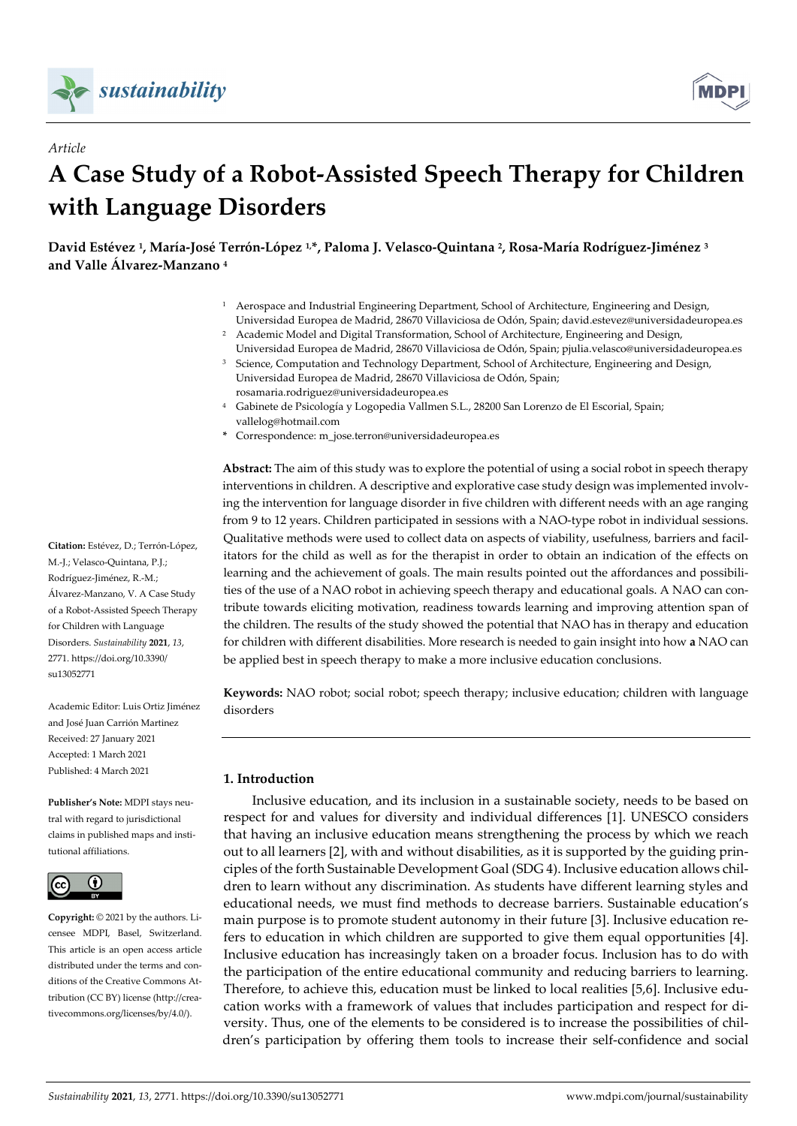

*Article*



# **A Case Study of a Robot‐Assisted Speech Therapy for Children with Language Disorders**

David Estévez <sup>1</sup>, María-José Terrón-López 1,\*, Paloma J. Velasco-Quintana <sup>2</sup>, Rosa-María Rodríguez-Jiménez <sup>3</sup> **and Valle Álvarez‐Manzano <sup>4</sup>**

- <sup>1</sup> Aerospace and Industrial Engineering Department, School of Architecture, Engineering and Design, Universidad Europea de Madrid, 28670 Villaviciosa de Odón, Spain; david.estevez@universidadeuropea.es
- <sup>2</sup> Academic Model and Digital Transformation, School of Architecture, Engineering and Design, Universidad Europea de Madrid, 28670 Villaviciosa de Odón, Spain; pjulia.velasco@universidadeuropea.es
- <sup>3</sup> Science, Computation and Technology Department, School of Architecture, Engineering and Design, Universidad Europea de Madrid, 28670 Villaviciosa de Odón, Spain; rosamaria.rodriguez@universidadeuropea.es
- <sup>4</sup> Gabinete de Psicología y Logopedia Vallmen S.L., 28200 San Lorenzo de El Escorial, Spain; vallelog@hotmail.com
- **\*** Correspondence: m\_jose.terron@universidadeuropea.es

**Abstract:** The aim of this study was to explore the potential of using a social robot in speech therapy interventions in children. A descriptive and explorative case study design was implemented involving the intervention for language disorder in five children with different needs with an age ranging from 9 to 12 years. Children participated in sessions with a NAO-type robot in individual sessions. Qualitative methods were used to collect data on aspects of viability, usefulness, barriers and facil‐ itators for the child as well as for the therapist in order to obtain an indication of the effects on learning and the achievement of goals. The main results pointed out the affordances and possibilities of the use of a NAO robot in achieving speech therapy and educational goals. A NAO can contribute towards eliciting motivation, readiness towards learning and improving attention span of the children. The results of the study showed the potential that NAO has in therapy and education for children with different disabilities. More research is needed to gain insight into how **a** NAO can be applied best in speech therapy to make a more inclusive education conclusions.

**Keywords:** NAO robot; social robot; speech therapy; inclusive education; children with language disorders

# **1. Introduction**

Inclusive education, and its inclusion in a sustainable society, needs to be based on respect for and values for diversity and individual differences [1]. UNESCO considers that having an inclusive education means strengthening the process by which we reach out to all learners [2], with and without disabilities, as it is supported by the guiding prin‐ ciples of the forth Sustainable Development Goal (SDG 4). Inclusive education allows chil‐ dren to learn without any discrimination. As students have different learning styles and educational needs, we must find methods to decrease barriers. Sustainable education's main purpose is to promote student autonomy in their future [3]. Inclusive education refers to education in which children are supported to give them equal opportunities [4]. Inclusive education has increasingly taken on a broader focus. Inclusion has to do with the participation of the entire educational community and reducing barriers to learning. Therefore, to achieve this, education must be linked to local realities [5,6]. Inclusive edu‐ cation works with a framework of values that includes participation and respect for di‐ versity. Thus, one of the elements to be considered is to increase the possibilities of chil‐ dren's participation by offering them tools to increase their self‐confidence and social

**Citation:** Estévez, D.; Terrón‐López, M.‐J.; Velasco‐Quintana, P.J.; Rodríguez‐Jiménez, R.‐M.; Álvarez‐Manzano, V. A Case Study of a Robot‐Assisted Speech Therapy for Children with Language Disorders. *Sustainability* **2021**, *13*, 2771. https://doi.org/10.3390/ su13052771

Academic Editor: Luis Ortiz Jiménez and José Juan Carrión Martinez Received: 27 January 2021 Accepted: 1 March 2021 Published: 4 March 2021

**Publisher's Note:** MDPI stays neu‐ tral with regard to jurisdictional claims in published maps and insti‐ tutional affiliations.



**Copyright:** © 2021 by the authors. Li‐ censee MDPI, Basel, Switzerland. This article is an open access article distributed under the terms and conditions of the Creative Commons At‐ tribution (CC BY) license (http://crea‐ tivecommons.org/licenses/by/4.0/).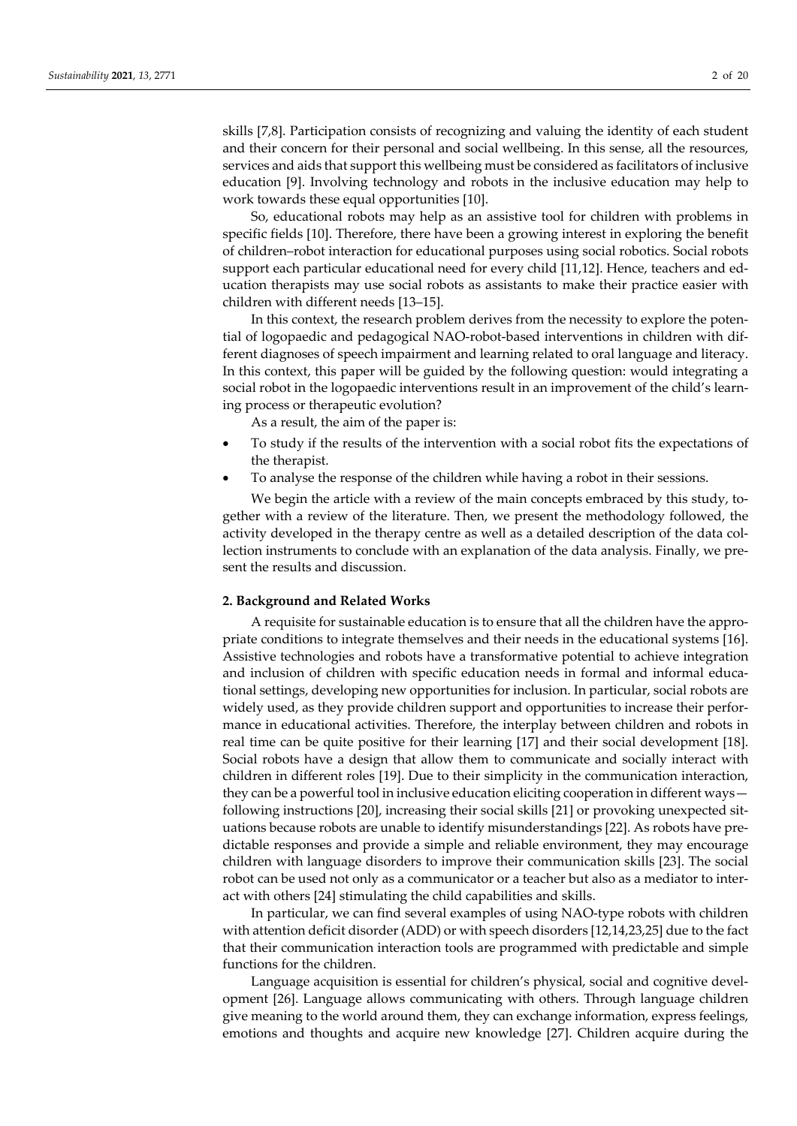skills [7,8]. Participation consists of recognizing and valuing the identity of each student and their concern for their personal and social wellbeing. In this sense, all the resources, services and aids that support this wellbeing must be considered as facilitators of inclusive education [9]. Involving technology and robots in the inclusive education may help to work towards these equal opportunities [10].

So, educational robots may help as an assistive tool for children with problems in specific fields [10]. Therefore, there have been a growing interest in exploring the benefit of children–robot interaction for educational purposes using social robotics. Social robots support each particular educational need for every child [11,12]. Hence, teachers and education therapists may use social robots as assistants to make their practice easier with children with different needs [13–15].

In this context, the research problem derives from the necessity to explore the poten– tial of logopaedic and pedagogical NAO‐robot‐based interventions in children with dif‐ ferent diagnoses of speech impairment and learning related to oral language and literacy. In this context, this paper will be guided by the following question: would integrating a social robot in the logopaedic interventions result in an improvement of the child's learning process or therapeutic evolution?

As a result, the aim of the paper is:

- To study if the results of the intervention with a social robot fits the expectations of the therapist.
- To analyse the response of the children while having a robot in their sessions.

We begin the article with a review of the main concepts embraced by this study, together with a review of the literature. Then, we present the methodology followed, the activity developed in the therapy centre as well as a detailed description of the data col‐ lection instruments to conclude with an explanation of the data analysis. Finally, we present the results and discussion.

# **2. Background and Related Works**

A requisite for sustainable education is to ensure that all the children have the appro‐ priate conditions to integrate themselves and their needs in the educational systems [16]. Assistive technologies and robots have a transformative potential to achieve integration and inclusion of children with specific education needs in formal and informal educa‐ tional settings, developing new opportunities for inclusion. In particular, social robots are widely used, as they provide children support and opportunities to increase their performance in educational activities. Therefore, the interplay between children and robots in real time can be quite positive for their learning [17] and their social development [18]. Social robots have a design that allow them to communicate and socially interact with children in different roles [19]. Due to their simplicity in the communication interaction, they can be a powerful tool in inclusive education eliciting cooperation in different ways following instructions [20], increasing their social skills [21] or provoking unexpected sit‐ uations because robots are unable to identify misunderstandings [22]. As robots have pre‐ dictable responses and provide a simple and reliable environment, they may encourage children with language disorders to improve their communication skills [23]. The social robot can be used not only as a communicator or a teacher but also as a mediator to inter‐ act with others [24] stimulating the child capabilities and skills.

In particular, we can find several examples of using NAO-type robots with children with attention deficit disorder (ADD) or with speech disorders [12,14,23,25] due to the fact that their communication interaction tools are programmed with predictable and simple functions for the children.

Language acquisition is essential for children's physical, social and cognitive devel‐ opment [26]. Language allows communicating with others. Through language children give meaning to the world around them, they can exchange information, express feelings, emotions and thoughts and acquire new knowledge [27]. Children acquire during the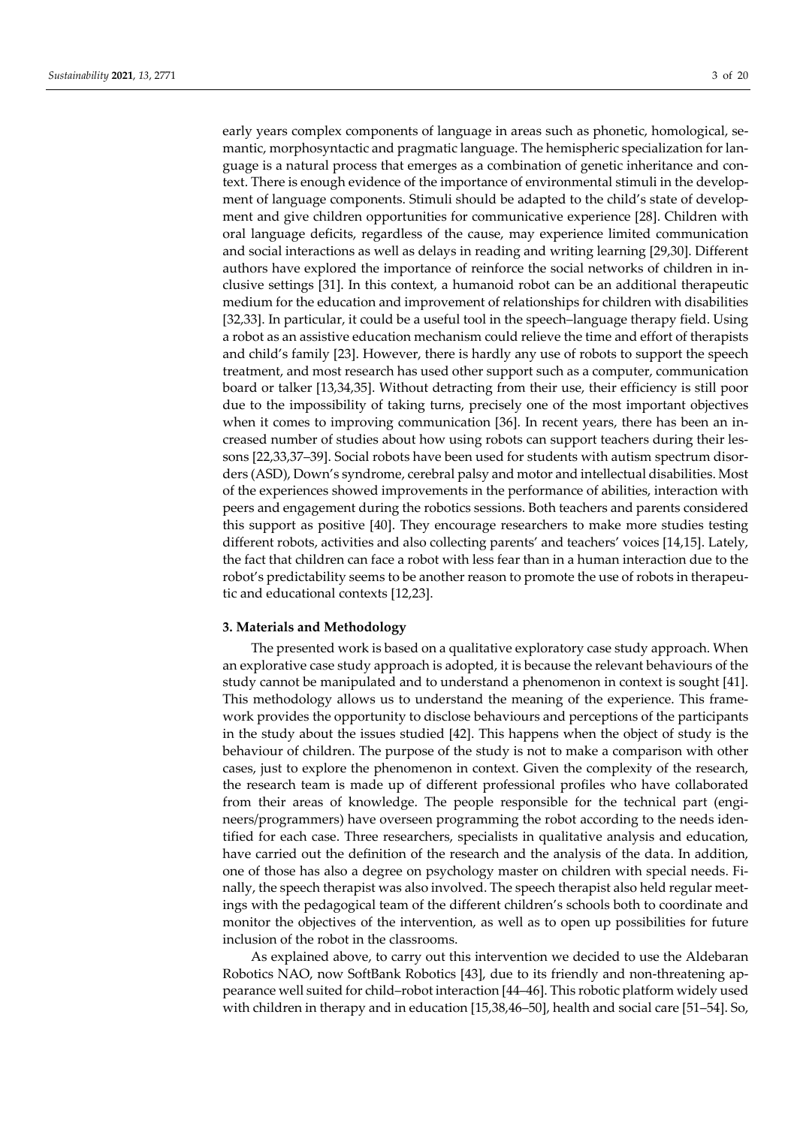early years complex components of language in areas such as phonetic, homological, semantic, morphosyntactic and pragmatic language. The hemispheric specialization for lan‐ guage is a natural process that emerges as a combination of genetic inheritance and con‐ text. There is enough evidence of the importance of environmental stimuli in the development of language components. Stimuli should be adapted to the child's state of development and give children opportunities for communicative experience [28]. Children with oral language deficits, regardless of the cause, may experience limited communication and social interactions as well as delays in reading and writing learning [29,30]. Different authors have explored the importance of reinforce the social networks of children in in‐ clusive settings [31]. In this context, a humanoid robot can be an additional therapeutic medium for the education and improvement of relationships for children with disabilities [32,33]. In particular, it could be a useful tool in the speech–language therapy field. Using a robot as an assistive education mechanism could relieve the time and effort of therapists and child's family [23]. However, there is hardly any use of robots to support the speech treatment, and most research has used other support such as a computer, communication board or talker [13,34,35]. Without detracting from their use, their efficiency is still poor due to the impossibility of taking turns, precisely one of the most important objectives when it comes to improving communication [36]. In recent years, there has been an increased number of studies about how using robots can support teachers during their les‐ sons [22,33,37–39]. Social robots have been used for students with autism spectrum disorders (ASD), Down's syndrome, cerebral palsy and motor and intellectual disabilities. Most of the experiences showed improvements in the performance of abilities, interaction with peers and engagement during the robotics sessions. Both teachers and parents considered this support as positive [40]. They encourage researchers to make more studies testing different robots, activities and also collecting parents' and teachers' voices [14,15]. Lately, the fact that children can face a robot with less fear than in a human interaction due to the robot's predictability seems to be another reason to promote the use of robots in therapeutic and educational contexts [12,23].

# **3. Materials and Methodology**

The presented work is based on a qualitative exploratory case study approach. When an explorative case study approach is adopted, it is because the relevant behaviours of the study cannot be manipulated and to understand a phenomenon in context is sought [41]. This methodology allows us to understand the meaning of the experience. This frame‐ work provides the opportunity to disclose behaviours and perceptions of the participants in the study about the issues studied [42]. This happens when the object of study is the behaviour of children. The purpose of the study is not to make a comparison with other cases, just to explore the phenomenon in context. Given the complexity of the research, the research team is made up of different professional profiles who have collaborated from their areas of knowledge. The people responsible for the technical part (engineers/programmers) have overseen programming the robot according to the needs iden‐ tified for each case. Three researchers, specialists in qualitative analysis and education, have carried out the definition of the research and the analysis of the data. In addition, one of those has also a degree on psychology master on children with special needs. Fi‐ nally, the speech therapist was also involved. The speech therapist also held regular meetings with the pedagogical team of the different children's schools both to coordinate and monitor the objectives of the intervention, as well as to open up possibilities for future inclusion of the robot in the classrooms.

As explained above, to carry out this intervention we decided to use the Aldebaran Robotics NAO, now SoftBank Robotics [43], due to its friendly and non-threatening appearance well suited for child–robot interaction [44–46]. This robotic platform widely used with children in therapy and in education [15,38,46–50], health and social care [51–54]. So,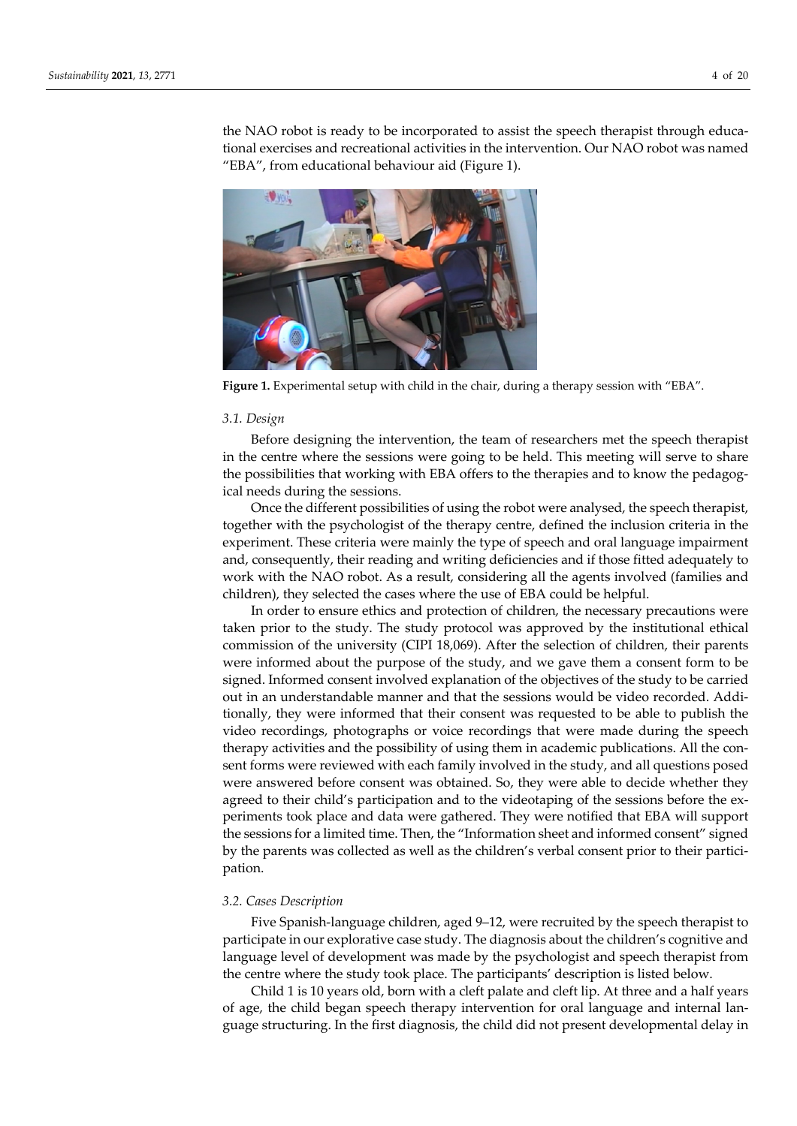the NAO robot is ready to be incorporated to assist the speech therapist through educational exercises and recreational activities in the intervention. Our NAO robot was named "EBA", from educational behaviour aid (Figure 1).



**Figure 1.** Experimental setup with child in the chair, during a therapy session with "EBA".

### *3.1. Design*

Before designing the intervention, the team of researchers met the speech therapist in the centre where the sessions were going to be held. This meeting will serve to share the possibilities that working with EBA offers to the therapies and to know the pedagogical needs during the sessions.

Once the different possibilities of using the robot were analysed, the speech therapist, together with the psychologist of the therapy centre, defined the inclusion criteria in the experiment. These criteria were mainly the type of speech and oral language impairment and, consequently, their reading and writing deficiencies and if those fitted adequately to work with the NAO robot. As a result, considering all the agents involved (families and children), they selected the cases where the use of EBA could be helpful.

In order to ensure ethics and protection of children, the necessary precautions were taken prior to the study. The study protocol was approved by the institutional ethical commission of the university (CIPI 18,069). After the selection of children, their parents were informed about the purpose of the study, and we gave them a consent form to be signed. Informed consent involved explanation of the objectives of the study to be carried out in an understandable manner and that the sessions would be video recorded. Addi‐ tionally, they were informed that their consent was requested to be able to publish the video recordings, photographs or voice recordings that were made during the speech therapy activities and the possibility of using them in academic publications. All the con‐ sent forms were reviewed with each family involved in the study, and all questions posed were answered before consent was obtained. So, they were able to decide whether they agreed to their child's participation and to the videotaping of the sessions before the ex‐ periments took place and data were gathered. They were notified that EBA will support the sessions for a limited time. Then, the "Information sheet and informed consent" signed by the parents was collected as well as the children's verbal consent prior to their participation.

# *3.2. Cases Description*

Five Spanish-language children, aged 9–12, were recruited by the speech therapist to participate in our explorative case study. The diagnosis about the children's cognitive and language level of development was made by the psychologist and speech therapist from the centre where the study took place. The participants' description is listed below.

Child 1 is 10 years old, born with a cleft palate and cleft lip. At three and a half years of age, the child began speech therapy intervention for oral language and internal lan‐ guage structuring. In the first diagnosis, the child did not present developmental delay in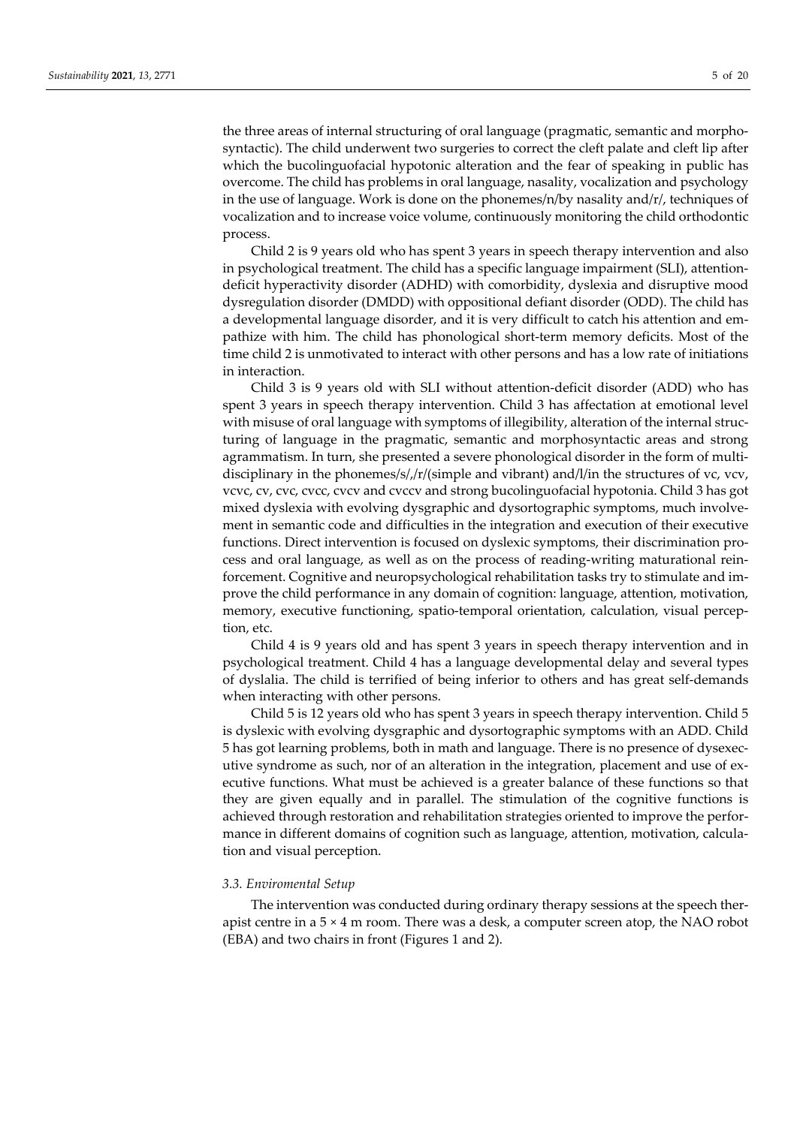the three areas of internal structuring of oral language (pragmatic, semantic and morpho‐ syntactic). The child underwent two surgeries to correct the cleft palate and cleft lip after which the bucolinguofacial hypotonic alteration and the fear of speaking in public has overcome. The child has problems in oral language, nasality, vocalization and psychology in the use of language. Work is done on the phonemes/n/by nasality and/r/, techniques of vocalization and to increase voice volume, continuously monitoring the child orthodontic process.

Child 2 is 9 years old who has spent 3 years in speech therapy intervention and also in psychological treatment. The child has a specific language impairment (SLI), attention‐ deficit hyperactivity disorder (ADHD) with comorbidity, dyslexia and disruptive mood dysregulation disorder (DMDD) with oppositional defiant disorder (ODD). The child has a developmental language disorder, and it is very difficult to catch his attention and em‐ pathize with him. The child has phonological short-term memory deficits. Most of the time child 2 is unmotivated to interact with other persons and has a low rate of initiations in interaction.

Child 3 is 9 years old with SLI without attention‐deficit disorder (ADD) who has spent 3 years in speech therapy intervention. Child 3 has affectation at emotional level with misuse of oral language with symptoms of illegibility, alteration of the internal structuring of language in the pragmatic, semantic and morphosyntactic areas and strong agrammatism. In turn, she presented a severe phonological disorder in the form of multidisciplinary in the phonemes/s/,/r/(simple and vibrant) and/l/in the structures of vc, vcv, vcvc, cv, cvc, cvcc, cvcv and cvccv and strong bucolinguofacial hypotonia. Child 3 has got mixed dyslexia with evolving dysgraphic and dysortographic symptoms, much involvement in semantic code and difficulties in the integration and execution of their executive functions. Direct intervention is focused on dyslexic symptoms, their discrimination pro‐ cess and oral language, as well as on the process of reading‐writing maturational rein‐ forcement. Cognitive and neuropsychological rehabilitation tasks try to stimulate and im‐ prove the child performance in any domain of cognition: language, attention, motivation, memory, executive functioning, spatio-temporal orientation, calculation, visual perception, etc.

Child 4 is 9 years old and has spent 3 years in speech therapy intervention and in psychological treatment. Child 4 has a language developmental delay and several types of dyslalia. The child is terrified of being inferior to others and has great self‐demands when interacting with other persons.

Child 5 is 12 years old who has spent 3 years in speech therapy intervention. Child 5 is dyslexic with evolving dysgraphic and dysortographic symptoms with an ADD. Child 5 has got learning problems, both in math and language. There is no presence of dysexec‐ utive syndrome as such, nor of an alteration in the integration, placement and use of executive functions. What must be achieved is a greater balance of these functions so that they are given equally and in parallel. The stimulation of the cognitive functions is achieved through restoration and rehabilitation strategies oriented to improve the perfor‐ mance in different domains of cognition such as language, attention, motivation, calculation and visual perception.

### *3.3. Enviromental Setup*

The intervention was conducted during ordinary therapy sessions at the speech ther‐ apist centre in a  $5 \times 4$  m room. There was a desk, a computer screen atop, the NAO robot (EBA) and two chairs in front (Figures 1 and 2).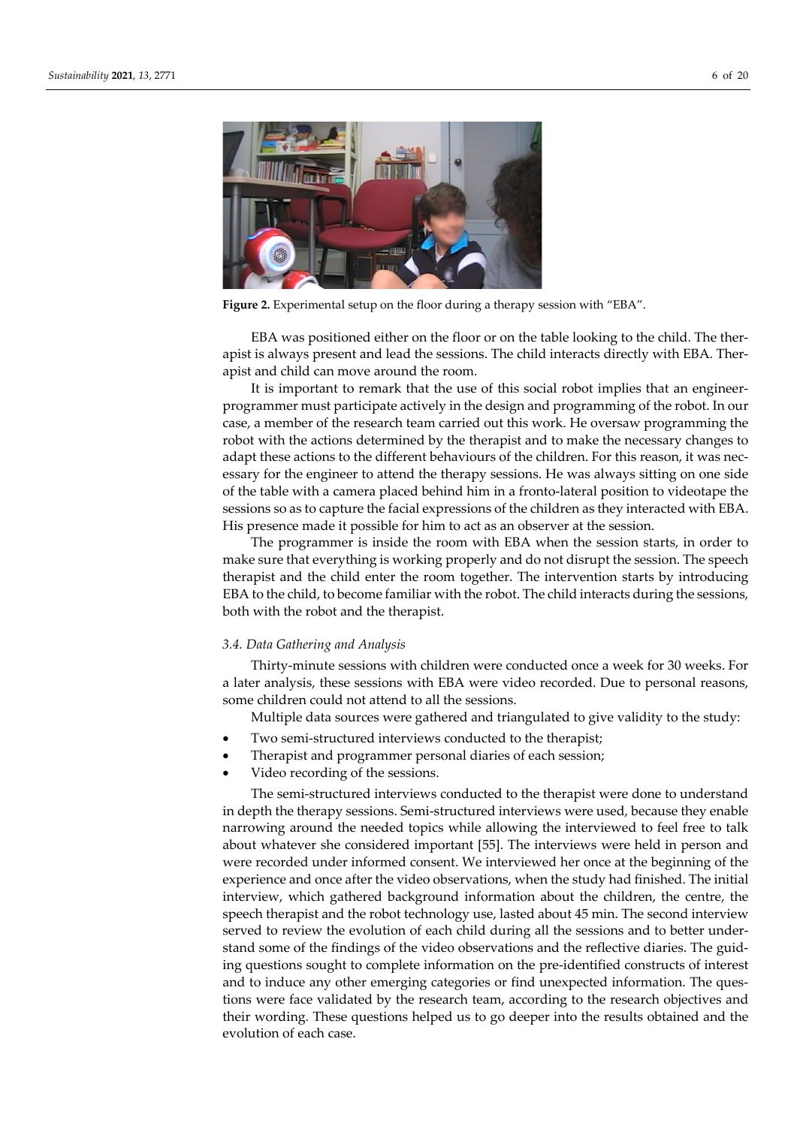

**Figure 2.** Experimental setup on the floor during a therapy session with "EBA".

EBA was positioned either on the floor or on the table looking to the child. The ther‐ apist is always present and lead the sessions. The child interacts directly with EBA. Ther‐ apist and child can move around the room.

It is important to remark that the use of this social robot implies that an engineer‐ programmer must participate actively in the design and programming of the robot. In our case, a member of the research team carried out this work. He oversaw programming the robot with the actions determined by the therapist and to make the necessary changes to adapt these actions to the different behaviours of the children. For this reason, it was necessary for the engineer to attend the therapy sessions. He was always sitting on one side of the table with a camera placed behind him in a fronto‐lateral position to videotape the sessions so as to capture the facial expressions of the children as they interacted with EBA. His presence made it possible for him to act as an observer at the session.

The programmer is inside the room with EBA when the session starts, in order to make sure that everything is working properly and do not disrupt the session. The speech therapist and the child enter the room together. The intervention starts by introducing EBA to the child, to become familiar with the robot. The child interacts during the sessions, both with the robot and the therapist.

### *3.4. Data Gathering and Analysis*

Thirty-minute sessions with children were conducted once a week for 30 weeks. For a later analysis, these sessions with EBA were video recorded. Due to personal reasons, some children could not attend to all the sessions.

Multiple data sources were gathered and triangulated to give validity to the study:

- Two semi‐structured interviews conducted to the therapist;
- Therapist and programmer personal diaries of each session;
- Video recording of the sessions.

The semi‐structured interviews conducted to the therapist were done to understand in depth the therapy sessions. Semi-structured interviews were used, because they enable narrowing around the needed topics while allowing the interviewed to feel free to talk about whatever she considered important [55]. The interviews were held in person and were recorded under informed consent. We interviewed her once at the beginning of the experience and once after the video observations, when the study had finished. The initial interview, which gathered background information about the children, the centre, the speech therapist and the robot technology use, lasted about 45 min. The second interview served to review the evolution of each child during all the sessions and to better under‐ stand some of the findings of the video observations and the reflective diaries. The guid‐ ing questions sought to complete information on the pre‐identified constructs of interest and to induce any other emerging categories or find unexpected information. The ques tions were face validated by the research team, according to the research objectives and their wording. These questions helped us to go deeper into the results obtained and the evolution of each case.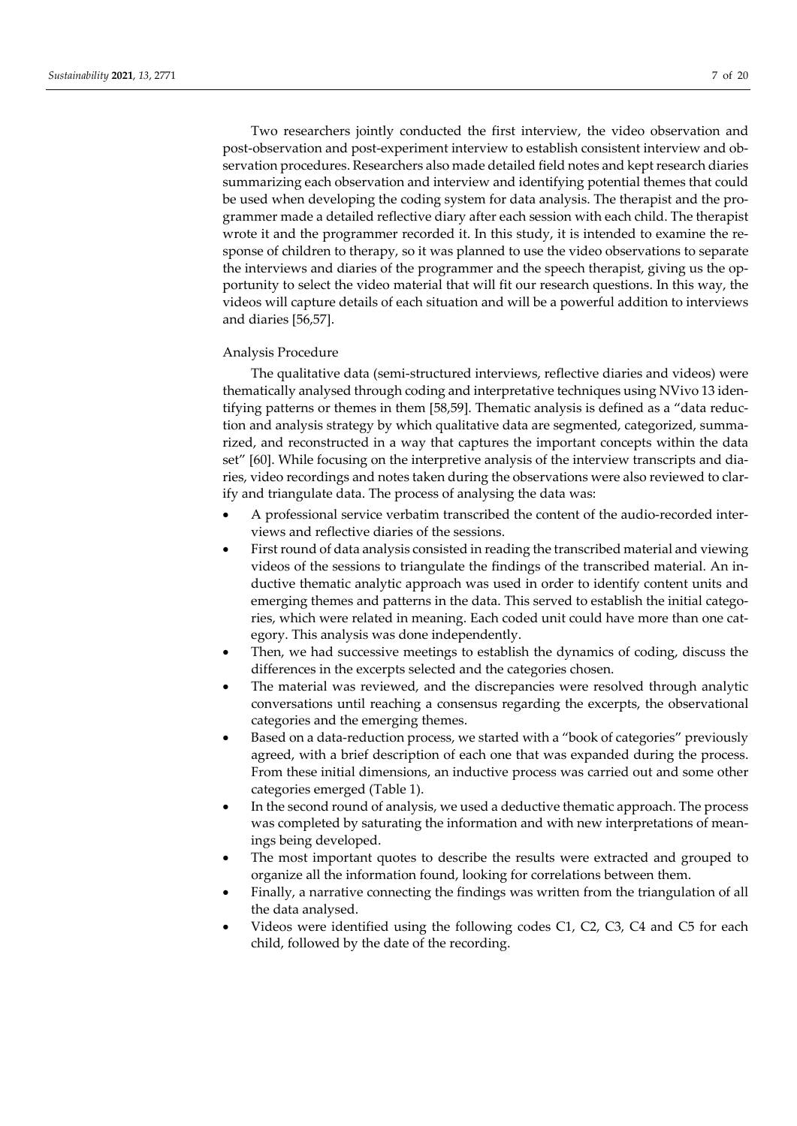Two researchers jointly conducted the first interview, the video observation and post-observation and post-experiment interview to establish consistent interview and observation procedures. Researchers also made detailed field notes and kept research diaries summarizing each observation and interview and identifying potential themes that could be used when developing the coding system for data analysis. The therapist and the pro‐ grammer made a detailed reflective diary after each session with each child. The therapist wrote it and the programmer recorded it. In this study, it is intended to examine the response of children to therapy, so it was planned to use the video observations to separate the interviews and diaries of the programmer and the speech therapist, giving us the op‐ portunity to select the video material that will fit our research questions. In this way, the videos will capture details of each situation and will be a powerful addition to interviews and diaries [56,57].

# Analysis Procedure

The qualitative data (semi-structured interviews, reflective diaries and videos) were thematically analysed through coding and interpretative techniques using NVivo 13 iden‐ tifying patterns or themes in them [58,59]. Thematic analysis is defined as a "data reduc‐ tion and analysis strategy by which qualitative data are segmented, categorized, summarized, and reconstructed in a way that captures the important concepts within the data set" [60]. While focusing on the interpretive analysis of the interview transcripts and diaries, video recordings and notes taken during the observations were also reviewed to clar‐ ify and triangulate data. The process of analysing the data was:

- A professional service verbatim transcribed the content of the audio‐recorded inter‐ views and reflective diaries of the sessions.
- First round of data analysis consisted in reading the transcribed material and viewing videos of the sessions to triangulate the findings of the transcribed material. An in‐ ductive thematic analytic approach was used in order to identify content units and emerging themes and patterns in the data. This served to establish the initial categories, which were related in meaning. Each coded unit could have more than one category. This analysis was done independently.
- Then, we had successive meetings to establish the dynamics of coding, discuss the differences in the excerpts selected and the categories chosen.
- The material was reviewed, and the discrepancies were resolved through analytic conversations until reaching a consensus regarding the excerpts, the observational categories and the emerging themes.
- Based on a data‐reduction process, we started with a "book of categories" previously agreed, with a brief description of each one that was expanded during the process. From these initial dimensions, an inductive process was carried out and some other categories emerged (Table 1).
- In the second round of analysis, we used a deductive thematic approach. The process was completed by saturating the information and with new interpretations of meanings being developed.
- The most important quotes to describe the results were extracted and grouped to organize all the information found, looking for correlations between them.
- Finally, a narrative connecting the findings was written from the triangulation of all the data analysed.
- Videos were identified using the following codes C1, C2, C3, C4 and C5 for each child, followed by the date of the recording.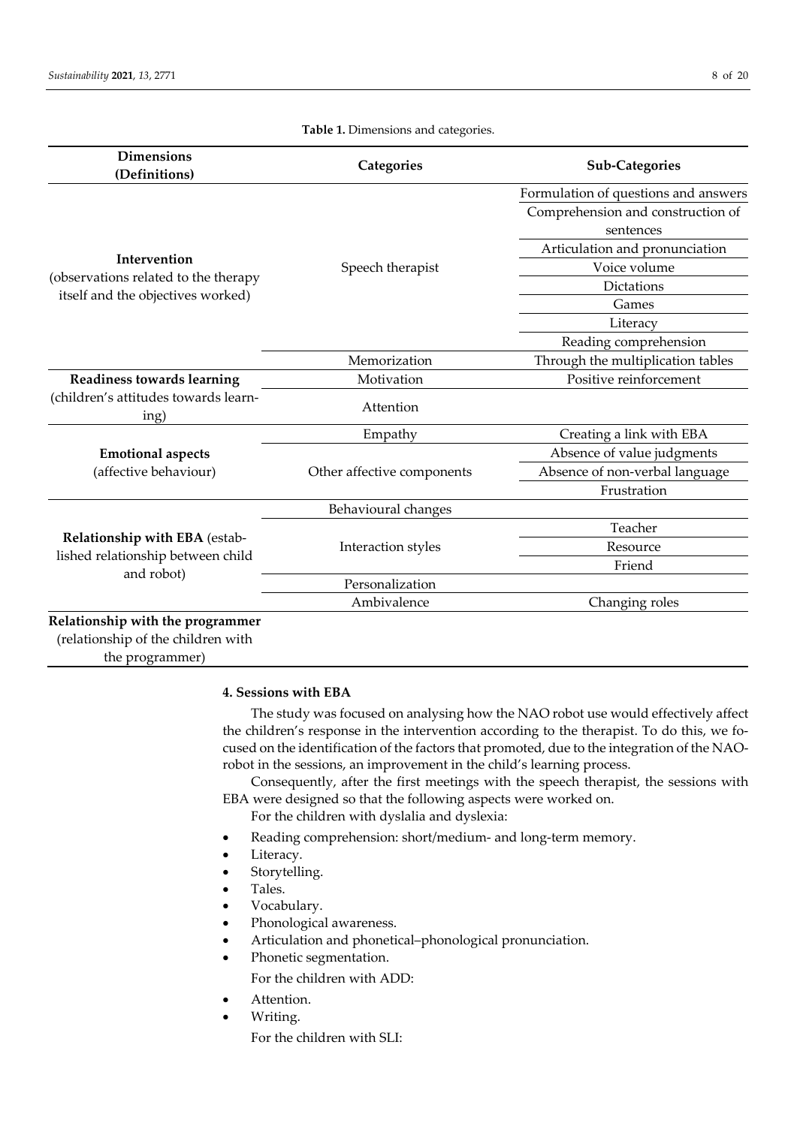|                                                                                           |                            | Formulation of questions and answers           |
|-------------------------------------------------------------------------------------------|----------------------------|------------------------------------------------|
|                                                                                           |                            |                                                |
|                                                                                           | Speech therapist           | Comprehension and construction of<br>sentences |
| Intervention<br>(observations related to the therapy<br>itself and the objectives worked) |                            | Articulation and pronunciation                 |
|                                                                                           |                            | Voice volume                                   |
|                                                                                           |                            | Dictations                                     |
|                                                                                           |                            | Games                                          |
|                                                                                           |                            | Literacy                                       |
|                                                                                           |                            | Reading comprehension                          |
|                                                                                           | Memorization               | Through the multiplication tables              |
| Readiness towards learning                                                                | Motivation                 | Positive reinforcement                         |
| (children's attitudes towards learn-<br>ing)                                              | Attention                  |                                                |
| <b>Emotional aspects</b><br>(affective behaviour)                                         | Empathy                    | Creating a link with EBA                       |
|                                                                                           | Other affective components | Absence of value judgments                     |
|                                                                                           |                            | Absence of non-verbal language                 |
|                                                                                           |                            | Frustration                                    |
| Relationship with EBA (estab-<br>lished relationship between child<br>and robot)          | Behavioural changes        |                                                |
|                                                                                           | Interaction styles         | Teacher                                        |
|                                                                                           |                            | Resource                                       |
|                                                                                           |                            | Friend                                         |
|                                                                                           | Personalization            |                                                |
|                                                                                           | Ambivalence                | Changing roles                                 |

**Table 1.** Dimensions and categories.

the programmer)

**4. Sessions with EBA**

The study was focused on analysing how the NAO robot use would effectively affect the children's response in the intervention according to the therapist. To do this, we focused on the identification of the factors that promoted, due to the integration of the NAO‐ robot in the sessions, an improvement in the child's learning process.

Consequently, after the first meetings with the speech therapist, the sessions with EBA were designed so that the following aspects were worked on.

- For the children with dyslalia and dyslexia:
- Reading comprehension: short/medium‐ and long‐term memory.
- Literacy.
- Storytelling.
- Tales.
- Vocabulary.
- Phonological awareness.
- Articulation and phonetical–phonological pronunciation.
- Phonetic segmentation.

For the children with ADD:

- Attention.
- Writing.

For the children with SLI: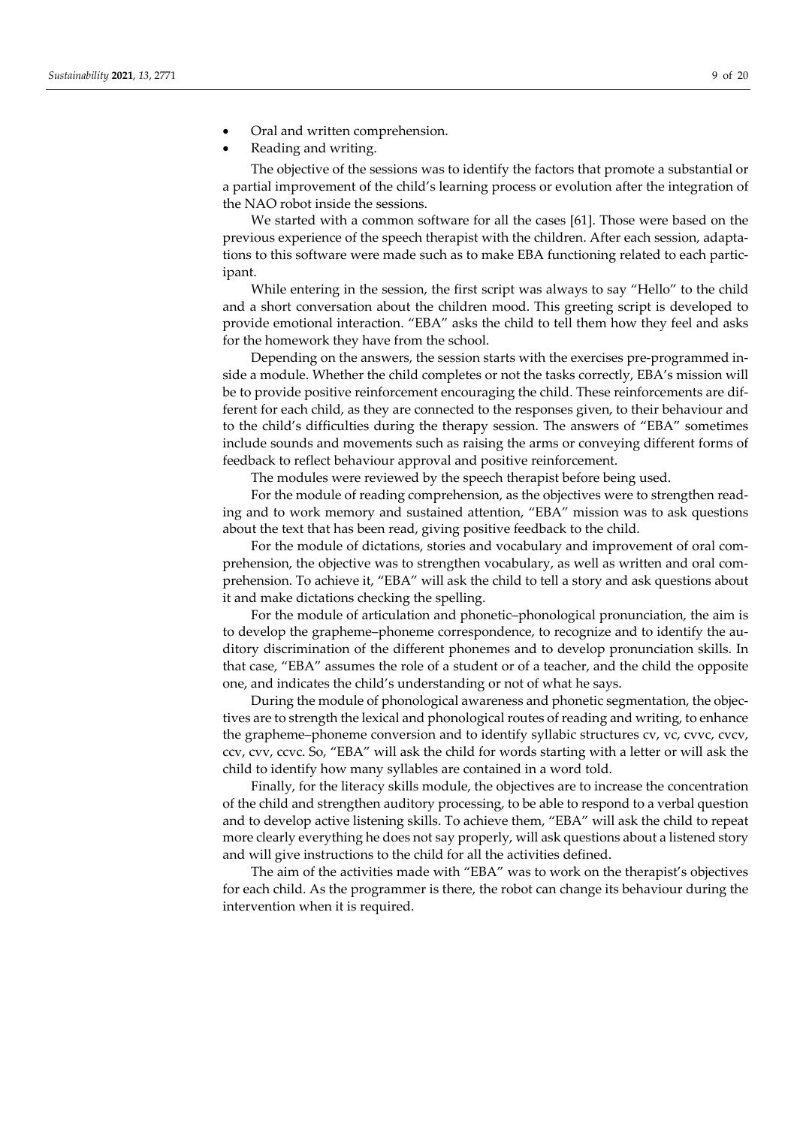- Oral and written comprehension.
- Reading and writing.

The objective of the sessions was to identify the factors that promote a substantial or a partial improvement of the child's learning process or evolution after the integration of the NAO robot inside the sessions.

We started with a common software for all the cases [61]. Those were based on the previous experience of the speech therapist with the children. After each session, adapta‐ tions to this software were made such as to make EBA functioning related to each participant.

While entering in the session, the first script was always to say "Hello" to the child and a short conversation about the children mood. This greeting script is developed to provide emotional interaction. "EBA" asks the child to tell them how they feel and asks for the homework they have from the school.

Depending on the answers, the session starts with the exercises pre-programmed inside a module. Whether the child completes or not the tasks correctly, EBA's mission will be to provide positive reinforcement encouraging the child. These reinforcements are different for each child, as they are connected to the responses given, to their behaviour and to the child's difficulties during the therapy session. The answers of "EBA" sometimes include sounds and movements such as raising the arms or conveying different forms of feedback to reflect behaviour approval and positive reinforcement.

The modules were reviewed by the speech therapist before being used.

For the module of reading comprehension, as the objectives were to strengthen reading and to work memory and sustained attention, "EBA" mission was to ask questions about the text that has been read, giving positive feedback to the child.

For the module of dictations, stories and vocabulary and improvement of oral comprehension, the objective was to strengthen vocabulary, as well as written and oral comprehension. To achieve it, "EBA" will ask the child to tell a story and ask questions about it and make dictations checking the spelling.

For the module of articulation and phonetic–phonological pronunciation, the aim is to develop the grapheme–phoneme correspondence, to recognize and to identify the au‐ ditory discrimination of the different phonemes and to develop pronunciation skills. In that case, "EBA" assumes the role of a student or of a teacher, and the child the opposite one, and indicates the child's understanding or not of what he says.

During the module of phonological awareness and phonetic segmentation, the objectives are to strength the lexical and phonological routes of reading and writing, to enhance the grapheme–phoneme conversion and to identify syllabic structures cv, vc, cvvc, cvcv, ccv, cvv, ccvc. So, "EBA" will ask the child for words starting with a letter or will ask the child to identify how many syllables are contained in a word told.

Finally, for the literacy skills module, the objectives are to increase the concentration of the child and strengthen auditory processing, to be able to respond to a verbal question and to develop active listening skills. To achieve them, "EBA" will ask the child to repeat more clearly everything he does not say properly, will ask questions about a listened story and will give instructions to the child for all the activities defined.

The aim of the activities made with "EBA" was to work on the therapist's objectives for each child. As the programmer is there, the robot can change its behaviour during the intervention when it is required.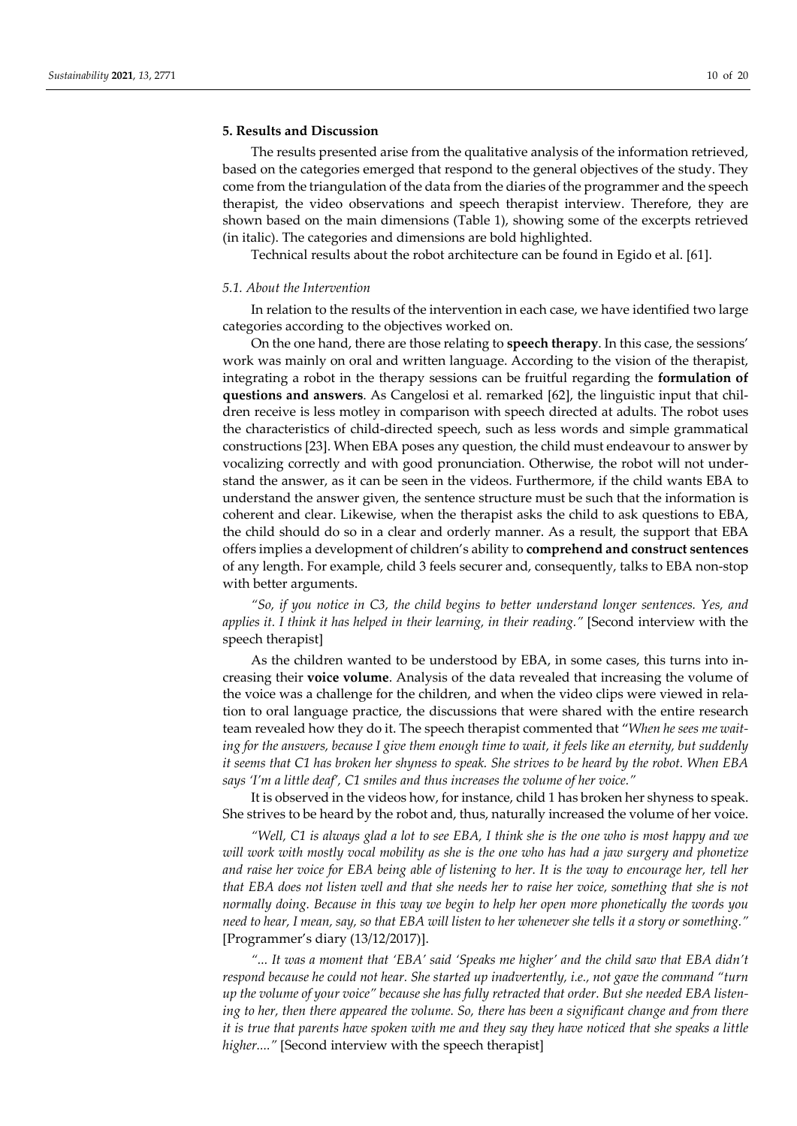### **5. Results and Discussion**

The results presented arise from the qualitative analysis of the information retrieved, based on the categories emerged that respond to the general objectives of the study. They come from the triangulation of the data from the diaries of the programmer and the speech therapist, the video observations and speech therapist interview. Therefore, they are shown based on the main dimensions (Table 1), showing some of the excerpts retrieved (in italic). The categories and dimensions are bold highlighted.

Technical results about the robot architecture can be found in Egido et al. [61].

### *5.1. About the Intervention*

In relation to the results of the intervention in each case, we have identified two large categories according to the objectives worked on.

On the one hand, there are those relating to **speech therapy**. In this case, the sessions' work was mainly on oral and written language. According to the vision of the therapist, integrating a robot in the therapy sessions can be fruitful regarding the **formulation of questions and answers**. As Cangelosi et al. remarked [62], the linguistic input that chil‐ dren receive is less motley in comparison with speech directed at adults. The robot uses the characteristics of child‐directed speech, such as less words and simple grammatical constructions [23]. When EBA poses any question, the child must endeavour to answer by vocalizing correctly and with good pronunciation. Otherwise, the robot will not under‐ stand the answer, as it can be seen in the videos. Furthermore, if the child wants EBA to understand the answer given, the sentence structure must be such that the information is coherent and clear. Likewise, when the therapist asks the child to ask questions to EBA, the child should do so in a clear and orderly manner. As a result, the support that EBA offers implies a development of children's ability to **comprehend and construct sentences** of any length. For example, child 3 feels securer and, consequently, talks to EBA non‐stop with better arguments.

*"So, if you notice in C3, the child begins to better understand longer sentences. Yes, and applies it. I think it has helped in their learning, in their reading."* [Second interview with the speech therapist]

As the children wanted to be understood by EBA, in some cases, this turns into in‐ creasing their **voice volume**. Analysis of the data revealed that increasing the volume of the voice was a challenge for the children, and when the video clips were viewed in relation to oral language practice, the discussions that were shared with the entire research team revealed how they do it. The speech therapist commented that "*When he sees me wait‐* ing for the answers, because I give them enough time to wait, it feels like an eternity, but suddenly it seems that C1 has broken her shyness to speak. She strives to be heard by the robot. When EBA *says 'I'm a little deaf', C1 smiles and thus increases the volume of her voice."*

It is observed in the videos how, for instance, child 1 has broken her shyness to speak. She strives to be heard by the robot and, thus, naturally increased the volume of her voice.

"Well, C1 is always glad a lot to see EBA, I think she is the one who is most happy and we will work with mostly vocal mobility as she is the one who has had a jaw surgery and phonetize and raise her voice for EBA being able of listening to her. It is the way to encourage her, tell her that EBA does not listen well and that she needs her to raise her voice, something that she is not *normally doing. Because in this way we begin to help her open more phonetically the words you* meed to hear, I mean, say, so that EBA will listen to her whenever she tells it a story or something." [Programmer's diary (13/12/2017)].

*"... It was a moment that 'EBA' said 'Speaks me higher' and the child saw that EBA didn't respond because he could not hear. She started up inadvertently, i.e., not gave the command "turn* up the volume of your voice" because she has fully retracted that order. But she needed EBA listen*ing to her, then there appeared the volume. So, there has been a significant change and from there* it is true that parents have spoken with me and they say they have noticed that she speaks a little *higher...."* [Second interview with the speech therapist]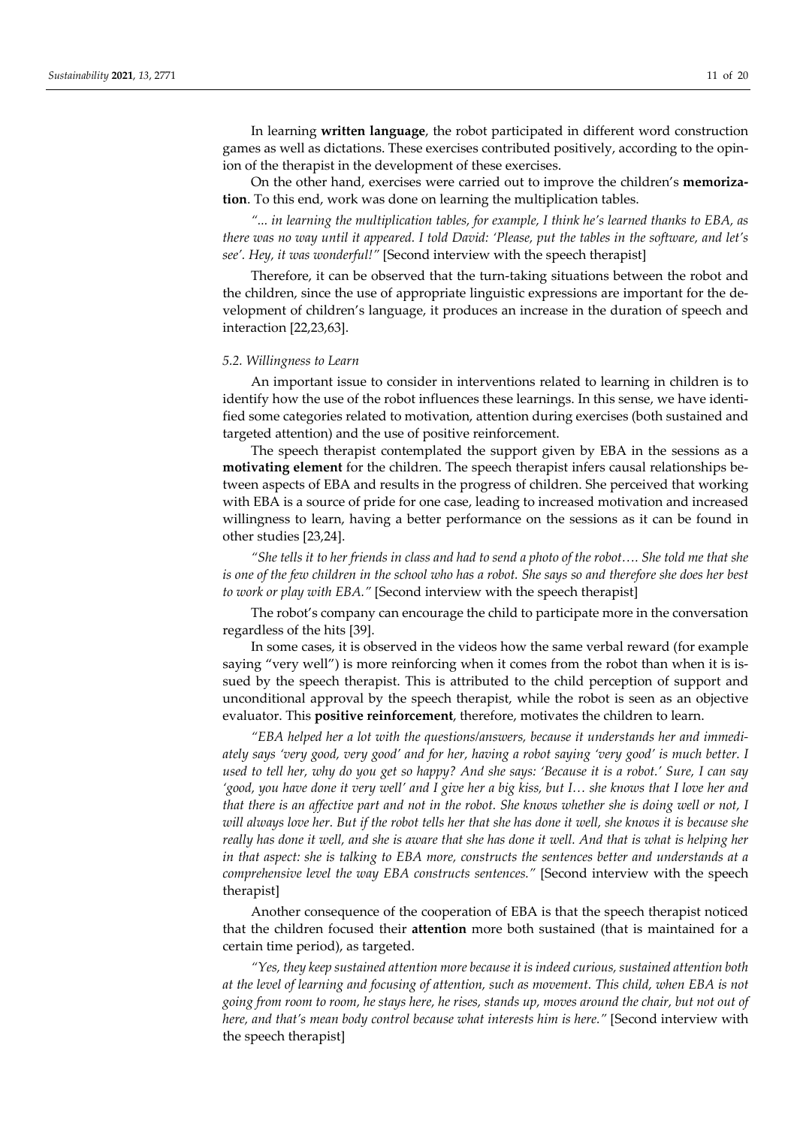In learning **written language**, the robot participated in different word construction games as well as dictations. These exercises contributed positively, according to the opin‐ ion of the therapist in the development of these exercises.

On the other hand, exercises were carried out to improve the children's **memoriza‐ tion**. To this end, work was done on learning the multiplication tables.

*"... in learning the multiplication tables, for example, I think he's learned thanks to EBA, as* there was no way until it appeared. I told David: 'Please, put the tables in the software, and let's *see'. Hey, it was wonderful!"* [Second interview with the speech therapist]

Therefore, it can be observed that the turn-taking situations between the robot and the children, since the use of appropriate linguistic expressions are important for the de‐ velopment of children's language, it produces an increase in the duration of speech and interaction [22,23,63].

### *5.2. Willingness to Learn*

An important issue to consider in interventions related to learning in children is to identify how the use of the robot influences these learnings. In this sense, we have identified some categories related to motivation, attention during exercises (both sustained and targeted attention) and the use of positive reinforcement.

The speech therapist contemplated the support given by EBA in the sessions as a **motivating element** for the children. The speech therapist infers causal relationships be– tween aspects of EBA and results in the progress of children. She perceived that working with EBA is a source of pride for one case, leading to increased motivation and increased willingness to learn, having a better performance on the sessions as it can be found in other studies [23,24].

"She tells it to her friends in class and had to send a photo of the robot.... She told me that she is one of the few children in the school who has a robot. She says so and therefore she does her best *to work or play with EBA."* [Second interview with the speech therapist]

The robot's company can encourage the child to participate more in the conversation regardless of the hits [39].

In some cases, it is observed in the videos how the same verbal reward (for example saying "very well") is more reinforcing when it comes from the robot than when it is issued by the speech therapist. This is attributed to the child perception of support and unconditional approval by the speech therapist, while the robot is seen as an objective evaluator. This **positive reinforcement**, therefore, motivates the children to learn.

*"EBA helped her a lot with the questions/answers, because it understands her and immedi‐* ately says 'very good, very good' and for her, having a robot saying 'very good' is much better. I used to tell her, why do you get so happy? And she says: 'Because it is a robot.' Sure, I can say 'good, you have done it very well' and I give her a big kiss, but I... she knows that I love her and that there is an affective part and not in the robot. She knows whether she is doing well or not, I will always love her. But if the robot tells her that she has done it well, she knows it is because she really has done it well, and she is aware that she has done it well. And that is what is helping her *in that aspect: she is talking to EBA more, constructs the sentences better and understands at a comprehensive level the way EBA constructs sentences."* [Second interview with the speech therapist]

Another consequence of the cooperation of EBA is that the speech therapist noticed that the children focused their **attention** more both sustained (that is maintained for a certain time period), as targeted.

*"Yes, they keep sustained attention more because it is indeed curious, sustained attention both at the level of learning and focusing of attention, such as movement. This child, when EBA is not* going from room to room, he stays here, he rises, stands up, moves around the chair, but not out of *here, and that's mean body control because what interests him is here."* [Second interview with the speech therapist]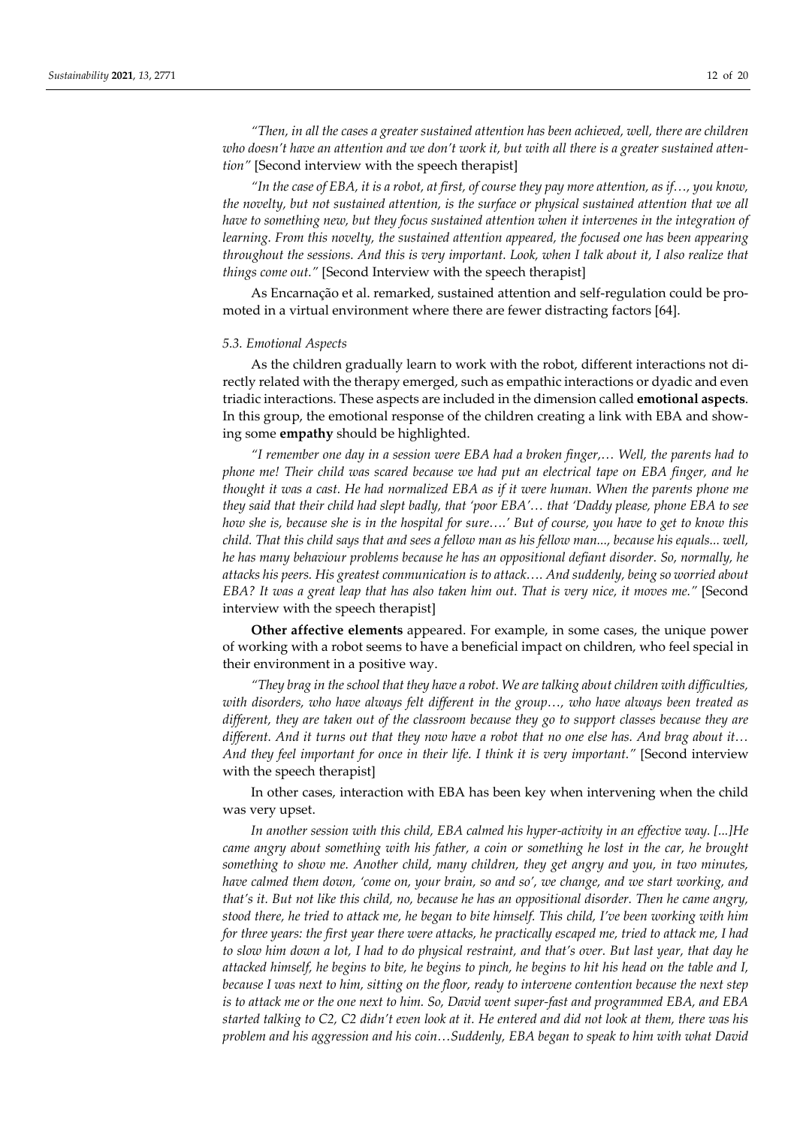*"Then, in all the cases a greater sustained attention has been achieved, well, there are children* who doesn't have an attention and we don't work it, but with all there is a greater sustained atten*tion"* [Second interview with the speech therapist]

"In the case of EBA, it is a robot, at first, of course they pay more attention, as if..., you know, *the novelty, but not sustained attention, is the surface or physical sustained attention that we all have to something new, but they focus sustained attention when it intervenes in the integration of learning. From this novelty, the sustained attention appeared, the focused one has been appearing* throughout the sessions. And this is very important. Look, when I talk about it, I also realize that *things come out."* [Second Interview with the speech therapist]

As Encarnação et al. remarked, sustained attention and self‐regulation could be pro‐ moted in a virtual environment where there are fewer distracting factors [64].

### *5.3. Emotional Aspects*

As the children gradually learn to work with the robot, different interactions not directly related with the therapy emerged, such as empathic interactions or dyadic and even triadic interactions. These aspects are included in the dimension called **emotional aspects**. In this group, the emotional response of the children creating a link with EBA and show‐ ing some **empathy** should be highlighted.

*"I remember one day in a session were EBA had a broken finger,… Well, the parents had to phone me! Their child was scared because we had put an electrical tape on EBA finger, and he thought it was a cast. He had normalized EBA as if it were human. When the parents phone me they said that their child had slept badly, that 'poor EBA'… that 'Daddy please, phone EBA to see* how she is, because she is in the hospital for sure....' But of course, you have to get to know this child. That this child says that and sees a fellow man as his fellow man..., because his equals... well, *he has many behaviour problems because he has an oppositional defiant disorder. So, normally, he attacks his peers. His greatest communication is to attack…. And suddenly, being so worried about* EBA? It was a great leap that has also taken him out. That is very nice, it moves me." [Second interview with the speech therapist]

**Other affective elements** appeared. For example, in some cases, the unique power of working with a robot seems to have a beneficial impact on children, who feel special in their environment in a positive way.

*"They brag in the school that they have a robot. We are talking about children with difficulties, with disorders, who have always felt different in the group…, who have always been treated as different, they are taken out of the classroom because they go to support classes because they are* different. And it turns out that they now have a robot that no one else has. And brag about it... *And they feel important for once in their life. I think it is very important."* [Second interview with the speech therapist]

In other cases, interaction with EBA has been key when intervening when the child was very upset.

*In another session with this child, EBA calmed his hyper‐activity in an effective way. [...]He came angry about something with his father, a coin or something he lost in the car, he brought something to show me. Another child, many children, they get angry and you, in two minutes, have calmed them down, 'come on, your brain, so and so', we change, and we start working, and* that's it. But not like this child, no, because he has an oppositional disorder. Then he came angry, stood there, he tried to attack me, he began to bite himself. This child, I've been working with him for three years: the first year there were attacks, he practically escaped me, tried to attack me, I had to slow him down a lot, I had to do physical restraint, and that's over. But last year, that day he attacked himself, he begins to bite, he begins to pinch, he begins to hit his head on the table and I, because I was next to him, sitting on the floor, ready to intervene contention because the next step is to attack me or the one next to him. So, David went super-fast and programmed EBA, and EBA started talking to C2, C2 didn't even look at it. He entered and did not look at them, there was his *problem and his aggression and his coin…Suddenly, EBA began to speak to him with what David*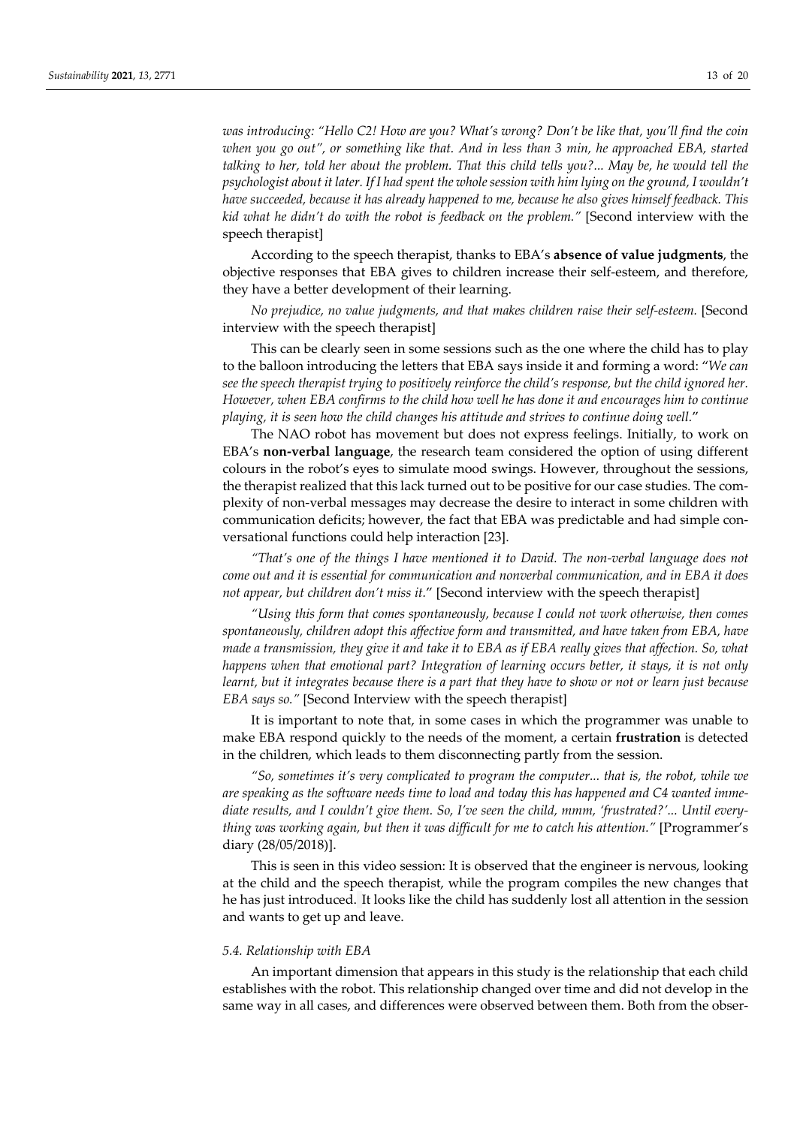*was introducing: "Hello C2! How are you? What's wrong? Don't be like that, you'll find the coin when you go out", or something like that. And in less than 3 min, he approached EBA, started* talking to her, told her about the problem. That this child tells you?... May be, he would tell the psychologist about it later. If I had spent the whole session with him lying on the ground, I wouldn't *have succeeded, because it has already happened to me, because he also gives himself feedback. This kid what he didn't do with the robot is feedback on the problem."* [Second interview with the speech therapist]

According to the speech therapist, thanks to EBA's **absence of value judgments**, the objective responses that EBA gives to children increase their self‐esteem, and therefore, they have a better development of their learning.

*No prejudice, no value judgments, and that makes children raise their self‐esteem.* [Second interview with the speech therapist]

This can be clearly seen in some sessions such as the one where the child has to play to the balloon introducing the letters that EBA says inside it and forming a word: "*We can see the speech therapist trying to positively reinforce the child's response, but the child ignored her. However, when EBA confirms to the child how well he has done it and encourages him to continue playing, it is seen how the child changes his attitude and strives to continue doing well.*"

The NAO robot has movement but does not express feelings. Initially, to work on EBA's **non‐verbal language**, the research team considered the option of using different colours in the robot's eyes to simulate mood swings. However, throughout the sessions, the therapist realized that this lack turned out to be positive for our case studies. The com‐ plexity of non‐verbal messages may decrease the desire to interact in some children with communication deficits; however, the fact that EBA was predictable and had simple conversational functions could help interaction [23].

*"That's one of the things I have mentioned it to David. The non‐verbal language does not come out and it is essential for communication and nonverbal communication, and in EBA it does not appear, but children don't miss it.*" [Second interview with the speech therapist]

*"Using this form that comes spontaneously, because I could not work otherwise, then comes spontaneously, children adopt this affective form and transmitted, and have taken from EBA, have* made a transmission, they give it and take it to EBA as if EBA really gives that affection. So, what *happens when that emotional part? Integration of learning occurs better, it stays, it is not only* learnt, but it integrates because there is a part that they have to show or not or learn just because *EBA says so."* [Second Interview with the speech therapist]

It is important to note that, in some cases in which the programmer was unable to make EBA respond quickly to the needs of the moment, a certain **frustration** is detected in the children, which leads to them disconnecting partly from the session.

*"So, sometimes it's very complicated to program the computer... that is, the robot, while we* are speaking as the software needs time to load and today this has happened and C4 wanted imme*diate results, and I couldn't give them. So, I've seen the child, mmm, 'frustrated?'... Until every‐ thing was working again, but then it was difficult for me to catch his attention."* [Programmer's diary (28/05/2018)].

This is seen in this video session: It is observed that the engineer is nervous, looking at the child and the speech therapist, while the program compiles the new changes that he has just introduced. It looks like the child has suddenly lost all attention in the session and wants to get up and leave.

# *5.4. Relationship with EBA*

An important dimension that appears in this study is the relationship that each child establishes with the robot. This relationship changed over time and did not develop in the same way in all cases, and differences were observed between them. Both from the obser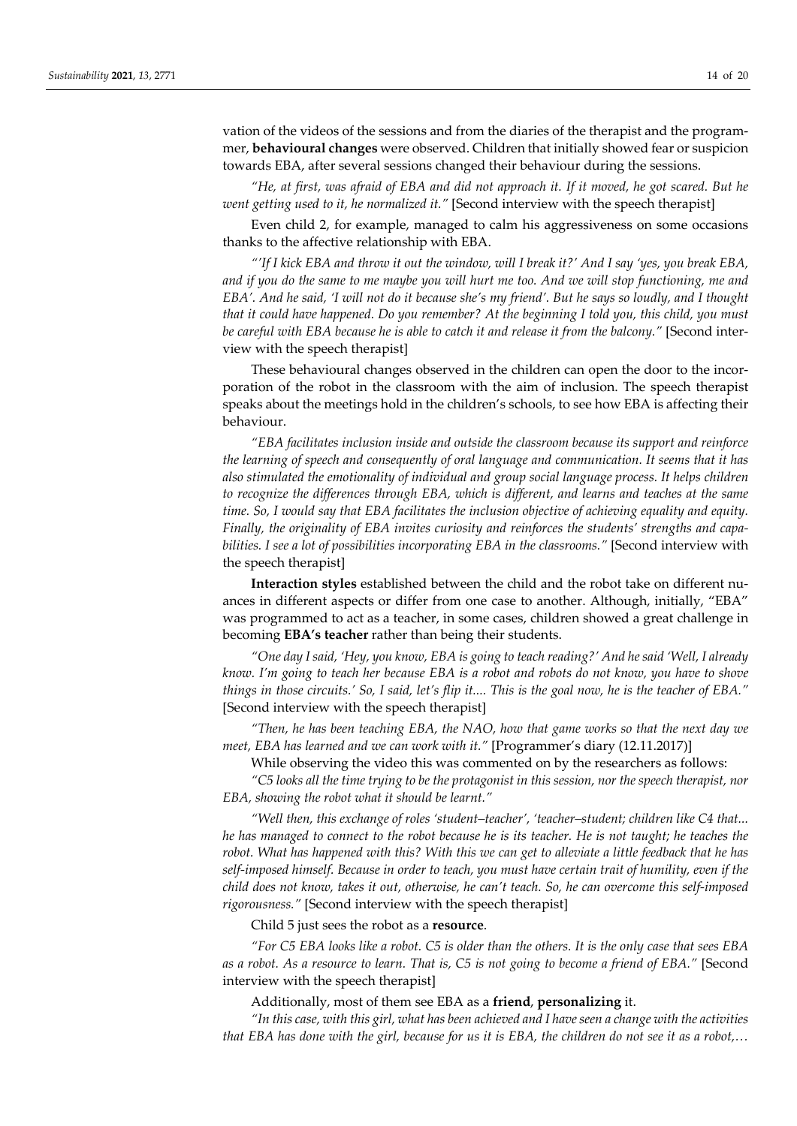vation of the videos of the sessions and from the diaries of the therapist and the program‐ mer, **behavioural changes** were observed. Children that initially showed fear or suspicion towards EBA, after several sessions changed their behaviour during the sessions.

"He, at first, was afraid of EBA and did not approach it. If it moved, he got scared. But he *went getting used to it, he normalized it."* [Second interview with the speech therapist]

Even child 2, for example, managed to calm his aggressiveness on some occasions thanks to the affective relationship with EBA.

"'If I kick EBA and throw it out the window, will I break it?' And I say 'yes, you break EBA, and if you do the same to me maybe you will hurt me too. And we will stop functioning, me and EBA'. And he said, 'I will not do it because she's my friend'. But he says so loudly, and I thought *that it could have happened. Do you remember? At the beginning I told you, this child, you must be careful with EBA because he is able to catch it and release it from the balcony."* [Second inter‐ view with the speech therapist]

These behavioural changes observed in the children can open the door to the incorporation of the robot in the classroom with the aim of inclusion. The speech therapist speaks about the meetings hold in the children's schools, to see how EBA is affecting their behaviour.

*"EBA facilitates inclusion inside and outside the classroom because its support and reinforce the learning of speech and consequently of oral language and communication. It seems that it has also stimulated the emotionality of individual and group social language process. It helps children to recognize the differences through EBA, which is different, and learns and teaches at the same time. So, I would say that EBA facilitates the inclusion objective of achieving equality and equity. Finally, the originality of EBA invites curiosity and reinforces the students' strengths and capa‐ bilities. I see a lot of possibilities incorporating EBA in the classrooms."* [Second interview with the speech therapist]

**Interaction styles** established between the child and the robot take on different nu‐ ances in different aspects or differ from one case to another. Although, initially, "EBA" was programmed to act as a teacher, in some cases, children showed a great challenge in becoming **EBA's teacher** rather than being their students.

"One day I said, 'Hey, you know, EBA is going to teach reading?' And he said 'Well, I already know. I'm going to teach her because EBA is a robot and robots do not know, you have to shove ".things in those circuits.' So, I said, let's flip it.... This is the goal now, he is the teacher of EBA. [Second interview with the speech therapist]

*"Then, he has been teaching EBA, the NAO, how that game works so that the next day we meet, EBA has learned and we can work with it."* [Programmer's diary (12.11.2017)]

While observing the video this was commented on by the researchers as follows:

*"C5 looks all the time trying to be the protagonist in this session, nor the speech therapist, nor EBA, showing the robot what it should be learnt."*

*"Well then, this exchange of roles 'student–teacher', 'teacher–student; children like C4 that...* he has managed to connect to the robot because he is its teacher. He is not taught; he teaches the robot. What has happened with this? With this we can get to alleviate a little feedback that he has self-imposed himself. Because in order to teach, you must have certain trait of humility, even if the child does not know, takes it out, otherwise, he can't teach. So, he can overcome this self-imposed *rigorousness."* [Second interview with the speech therapist]

Child 5 just sees the robot as a **resource**.

"For C5 EBA looks like a robot. C5 is older than the others. It is the only case that sees EBA as a robot. As a resource to learn. That is, C5 is not going to become a friend of EBA." [Second interview with the speech therapist]

Additionally, most of them see EBA as a **friend**, **personalizing** it.

*"In this case, with this girl, what has been achieved and I haveseen a change with the activities* that EBA has done with the girl, because for us it is EBA, the children do not see it as a robot,...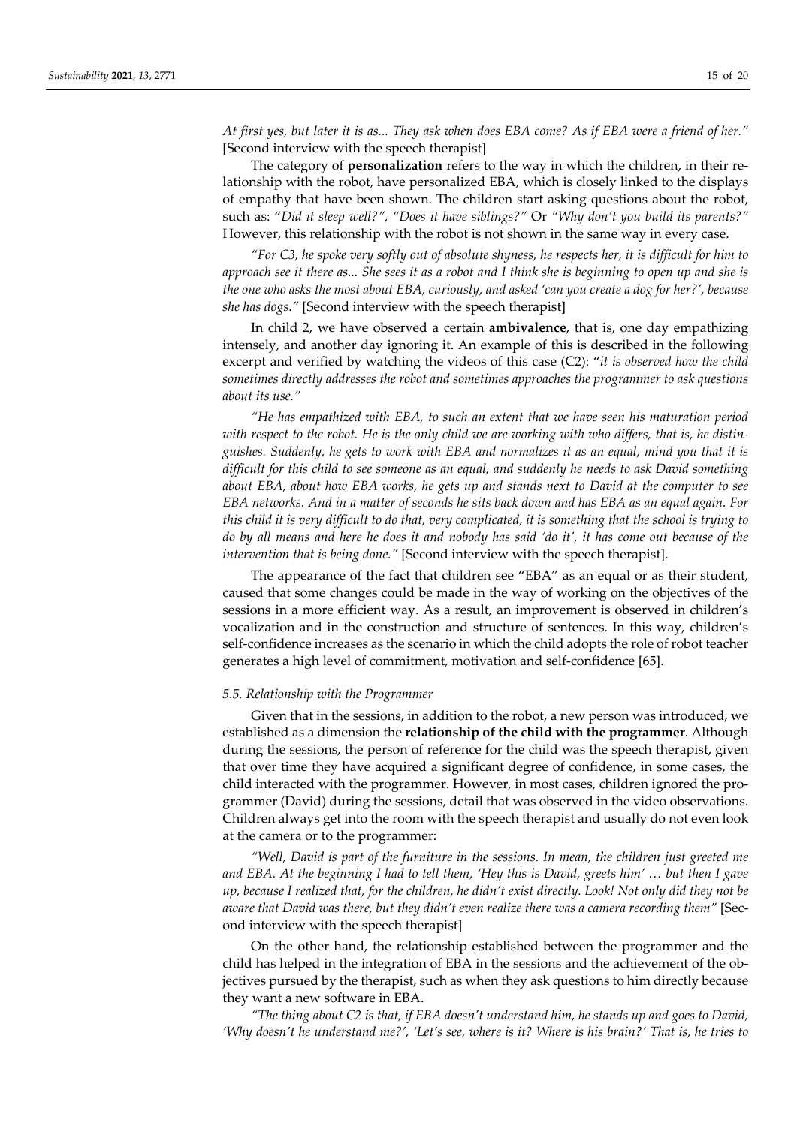At first yes, but later it is as... They ask when does EBA come? As if EBA were a friend of her." [Second interview with the speech therapist]

The category of **personalization** refers to the way in which the children, in their re‐ lationship with the robot, have personalized EBA, which is closely linked to the displays of empathy that have been shown. The children start asking questions about the robot, such as: "*Did it sleep well?", "Does it have siblings?"* Or *"Why don't you build its parents?"* However, this relationship with the robot is not shown in the same way in every case.

"For C3, he spoke very softly out of absolute shyness, he respects her, it is difficult for him to approach see it there as... She sees it as a robot and I think she is beginning to open up and she is the one who asks the most about EBA, curiously, and asked 'can you create a dog for her?', because *she has dogs."* [Second interview with the speech therapist]

In child 2, we have observed a certain **ambivalence**, that is, one day empathizing intensely, and another day ignoring it. An example of this is described in the following excerpt and verified by watching the videos of this case (C2): "*it is observed how the child sometimes directly addresses the robot and sometimes approaches the programmer to ask questions about its use."*

*"He has empathized with EBA, to such an extent that we have seen his maturation period* with respect to the robot. He is the only child we are working with who differs, that is, he distinguishes. Suddenly, he gets to work with EBA and normalizes it as an equal, mind you that it is *difficult for this child to see someone as an equal, and suddenly he needs to ask David something about EBA, about how EBA works, he gets up and stands next to David at the computer to see* EBA networks. And in a matter of seconds he sits back down and has EBA as an equal again. For this child it is very difficult to do that, very complicated, it is something that the school is trying to do by all means and here he does it and nobody has said 'do it', it has come out because of the *intervention that is being done."* [Second interview with the speech therapist].

The appearance of the fact that children see "EBA" as an equal or as their student, caused that some changes could be made in the way of working on the objectives of the sessions in a more efficient way. As a result, an improvement is observed in children's vocalization and in the construction and structure of sentences. In this way, children's self‐confidence increases as the scenario in which the child adopts the role of robot teacher generates a high level of commitment, motivation and self‐confidence [65].

### *5.5. Relationship with the Programmer*

Given that in the sessions, in addition to the robot, a new person was introduced, we established as a dimension the **relationship of the child with the programmer**. Although during the sessions, the person of reference for the child was the speech therapist, given that over time they have acquired a significant degree of confidence, in some cases, the child interacted with the programmer. However, in most cases, children ignored the pro‐ grammer (David) during the sessions, detail that was observed in the video observations. Children always get into the room with the speech therapist and usually do not even look at the camera or to the programmer:

*"Well, David is part of the furniture in the sessions. In mean, the children just greeted me* and EBA. At the beginning I had to tell them, 'Hey this is David, greets him' ... but then I gave up, because I realized that, for the children, he didn't exist directly. Look! Not only did they not be *aware that David was there, but they didn't even realize there was a camera recording them"* [Sec‐ ond interview with the speech therapist]

On the other hand, the relationship established between the programmer and the child has helped in the integration of EBA in the sessions and the achievement of the ob‐ jectives pursued by the therapist, such as when they ask questions to him directly because they want a new software in EBA.

*"The thing about C2 is that, if EBA doesn't understand him, he stands up and goes to David,* 'Why doesn't he understand me?', 'Let's see, where is it? Where is his brain?' That is, he tries to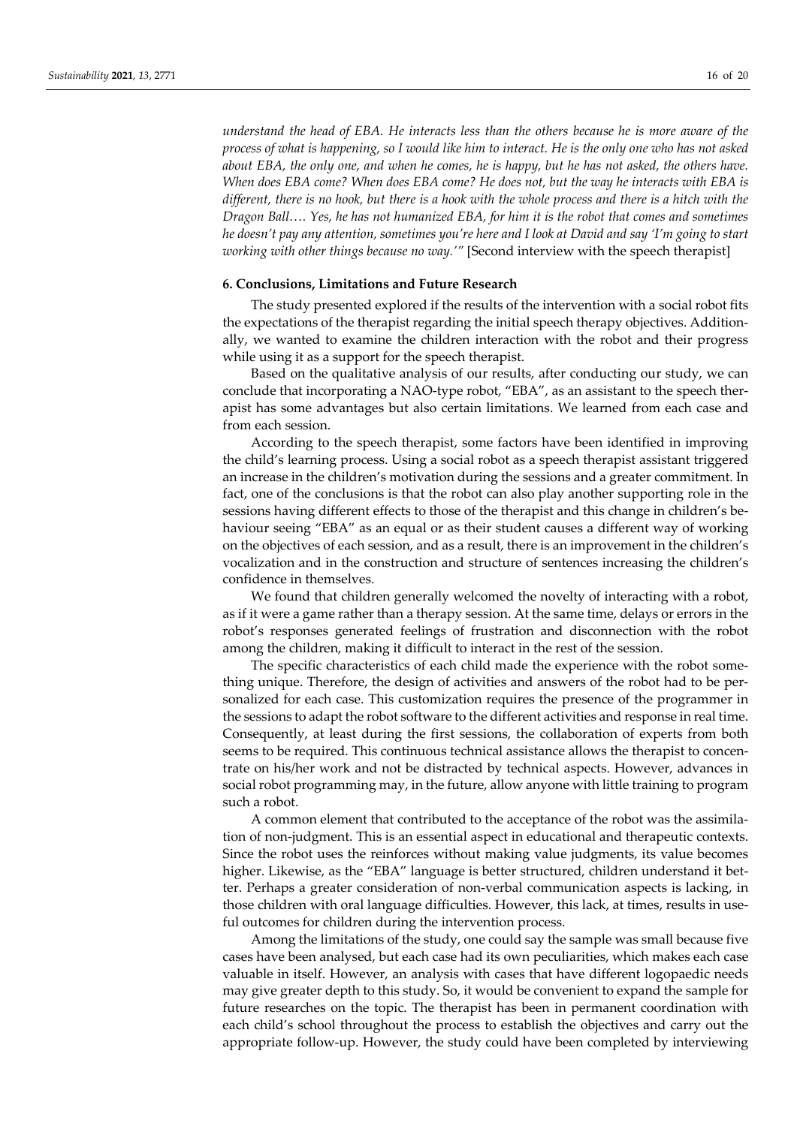*understand the head of EBA. He interacts less than the others because he is more aware of the* process of what is happening, so I would like him to interact. He is the only one who has not asked about EBA, the only one, and when he comes, he is happy, but he has not asked, the others have. *When does EBA come? When does EBA come? He does not, but the way he interacts with EBA is* different, there is no hook, but there is a hook with the whole process and there is a hitch with the *Dragon Ball…. Yes, he has not humanized EBA, for him it is the robot that comes and sometimes* he doesn't pay any attention, sometimes you're here and I look at David and say 'I'm going to start *working with other things because no way.'"* [Second interview with the speech therapist]

# **6. Conclusions, Limitations and Future Research**

The study presented explored if the results of the intervention with a social robot fits the expectations of the therapist regarding the initial speech therapy objectives. Addition‐ ally, we wanted to examine the children interaction with the robot and their progress while using it as a support for the speech therapist.

Based on the qualitative analysis of our results, after conducting our study, we can conclude that incorporating a NAO-type robot, "EBA", as an assistant to the speech therapist has some advantages but also certain limitations. We learned from each case and from each session.

According to the speech therapist, some factors have been identified in improving the child's learning process. Using a social robot as a speech therapist assistant triggered an increase in the children's motivation during the sessions and a greater commitment. In fact, one of the conclusions is that the robot can also play another supporting role in the sessions having different effects to those of the therapist and this change in children's behaviour seeing "EBA" as an equal or as their student causes a different way of working on the objectives of each session, and as a result, there is an improvement in the children's vocalization and in the construction and structure of sentences increasing the children's confidence in themselves.

We found that children generally welcomed the novelty of interacting with a robot, as if it were a game rather than a therapy session. At the same time, delays or errors in the robot's responses generated feelings of frustration and disconnection with the robot among the children, making it difficult to interact in the rest of the session.

The specific characteristics of each child made the experience with the robot something unique. Therefore, the design of activities and answers of the robot had to be per‐ sonalized for each case. This customization requires the presence of the programmer in the sessions to adapt the robot software to the different activities and response in real time. Consequently, at least during the first sessions, the collaboration of experts from both seems to be required. This continuous technical assistance allows the therapist to concentrate on his/her work and not be distracted by technical aspects. However, advances in social robot programming may, in the future, allow anyone with little training to program such a robot.

A common element that contributed to the acceptance of the robot was the assimila‐ tion of non-judgment. This is an essential aspect in educational and therapeutic contexts. Since the robot uses the reinforces without making value judgments, its value becomes higher. Likewise, as the "EBA" language is better structured, children understand it better. Perhaps a greater consideration of non‐verbal communication aspects is lacking, in those children with oral language difficulties. However, this lack, at times, results in useful outcomes for children during the intervention process.

Among the limitations of the study, one could say the sample was small because five cases have been analysed, but each case had its own peculiarities, which makes each case valuable in itself. However, an analysis with cases that have different logopaedic needs may give greater depth to this study. So, it would be convenient to expand the sample for future researches on the topic. The therapist has been in permanent coordination with each child's school throughout the process to establish the objectives and carry out the appropriate follow‐up. However, the study could have been completed by interviewing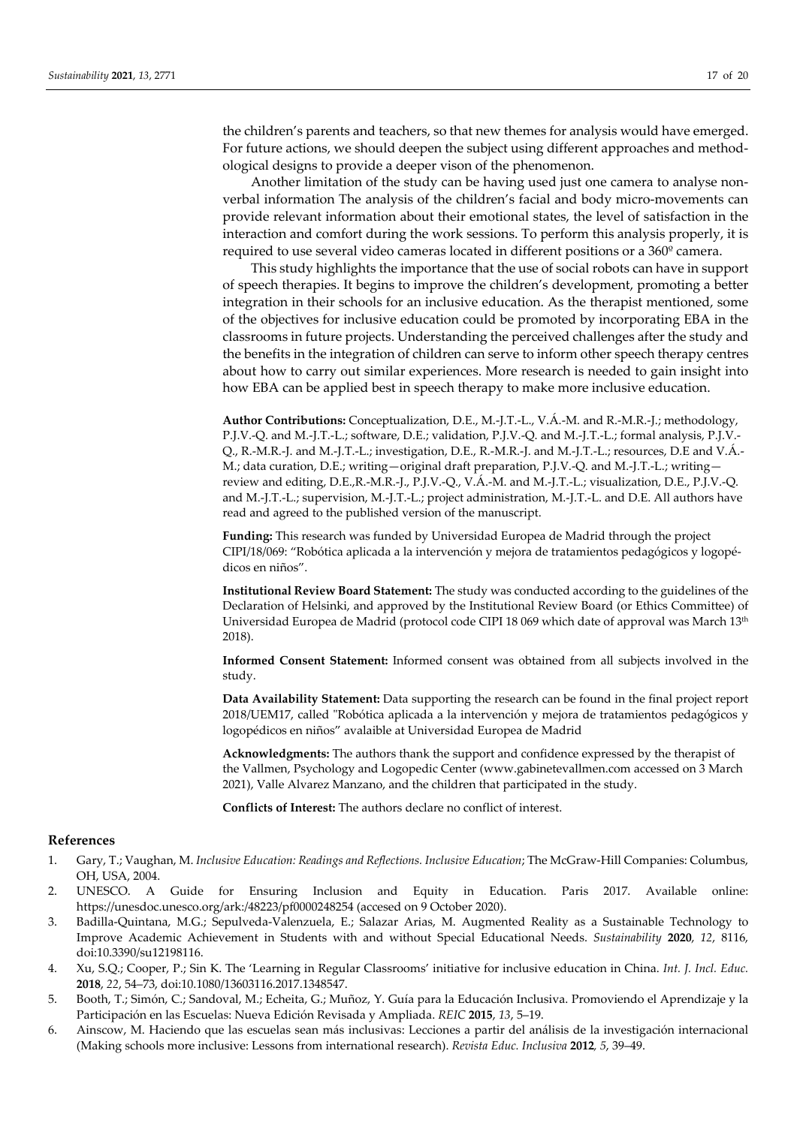the children's parents and teachers, so that new themes for analysis would have emerged. For future actions, we should deepen the subject using different approaches and methodological designs to provide a deeper vison of the phenomenon.

Another limitation of the study can be having used just one camera to analyse non‐ verbal information The analysis of the children's facial and body micro-movements can provide relevant information about their emotional states, the level of satisfaction in the interaction and comfort during the work sessions. To perform this analysis properly, it is required to use several video cameras located in different positions or a 360<sup>°</sup> camera.

This study highlights the importance that the use of social robots can have in support of speech therapies. It begins to improve the children's development, promoting a better integration in their schools for an inclusive education. As the therapist mentioned, some of the objectives for inclusive education could be promoted by incorporating EBA in the classrooms in future projects. Understanding the perceived challenges after the study and the benefits in the integration of children can serve to inform other speech therapy centres about how to carry out similar experiences. More research is needed to gain insight into how EBA can be applied best in speech therapy to make more inclusive education.

**Author Contributions:** Conceptualization, D.E., M.‐J.T.‐L., V.Á.‐M. and R.‐M.R.‐J.; methodology, P.J.V.‐Q. and M.‐J.T.‐L.; software, D.E.; validation, P.J.V.‐Q. and M.‐J.T.‐L.; formal analysis, P.J.V.‐ Q., R.‐M.R.‐J. and M.‐J.T.‐L.; investigation, D.E., R.‐M.R.‐J. and M.‐J.T.‐L.; resources, D.E and V.Á.‐ M.; data curation, D.E.; writing—original draft preparation, P.J.V.‐Q. and M.‐J.T.‐L.; writing review and editing, D.E.,R.‐M.R.‐J., P.J.V.‐Q., V.Á.‐M. and M.‐J.T.‐L.; visualization, D.E., P.J.V.‐Q. and M.‐J.T.‐L.; supervision, M.‐J.T.‐L.; project administration, M.‐J.T.‐L. and D.E. All authors have read and agreed to the published version of the manuscript.

**Funding:** This research was funded by Universidad Europea de Madrid through the project CIPI/18/069: "Robótica aplicada a la intervención y mejora de tratamientos pedagógicos y logopé‐ dicos en niños".

**Institutional Review Board Statement:** The study was conducted according to the guidelines of the Declaration of Helsinki, and approved by the Institutional Review Board (or Ethics Committee) of Universidad Europea de Madrid (protocol code CIPI 18 069 which date of approval was March 13<sup>th</sup> 2018).

**Informed Consent Statement:** Informed consent was obtained from all subjects involved in the study.

**Data Availability Statement:** Data supporting the research can be found in the final project report 2018/UEM17, called "Robótica aplicada a la intervención y mejora de tratamientos pedagógicos y logopédicos en niños" avalaible at Universidad Europea de Madrid

**Acknowledgments:** The authors thank the support and confidence expressed by the therapist of the Vallmen, Psychology and Logopedic Center (www.gabinetevallmen.com accessed on 3 March 2021), Valle Alvarez Manzano, and the children that participated in the study.

**Conflicts of Interest:** The authors declare no conflict of interest.

# **References**

- 1. Gary, T.; Vaughan, M. *Inclusive Education: Readings and Reflections. Inclusive Education*; The McGraw‐Hill Companies: Columbus, OH, USA, 2004.
- 2. UNESCO. A Guide for Ensuring Inclusion and Equity in Education. Paris 2017. Available online: https://unesdoc.unesco.org/ark:/48223/pf0000248254 (accesed on 9 October 2020).
- 3. Badilla‐Quintana, M.G.; Sepulveda‐Valenzuela, E.; Salazar Arias, M. Augmented Reality as a Sustainable Technology to Improve Academic Achievement in Students with and without Special Educational Needs. *Sustainability* **2020**, *12*, 8116, doi:10.3390/su12198116.
- 4. Xu, S.Q.; Cooper, P.; Sin K. The 'Learning in Regular Classrooms' initiative for inclusive education in China. *Int. J. Incl. Educ.* **2018**, *22*, 54–73, doi:10.1080/13603116.2017.1348547.
- 5. Booth, T.; Simón, C.; Sandoval, M.; Echeita, G.; Muñoz, Y. Guía para la Educación Inclusiva. Promoviendo el Aprendizaje y la Participación en las Escuelas: Nueva Edición Revisada y Ampliada. *REIC* **2015**, *13*, 5–19.
- 6. Ainscow, M. Haciendo que las escuelas sean más inclusivas: Lecciones a partir del análisis de la investigación internacional (Making schools more inclusive: Lessons from international research). *Revista Educ. Inclusiva* **2012***, 5*, 39–49.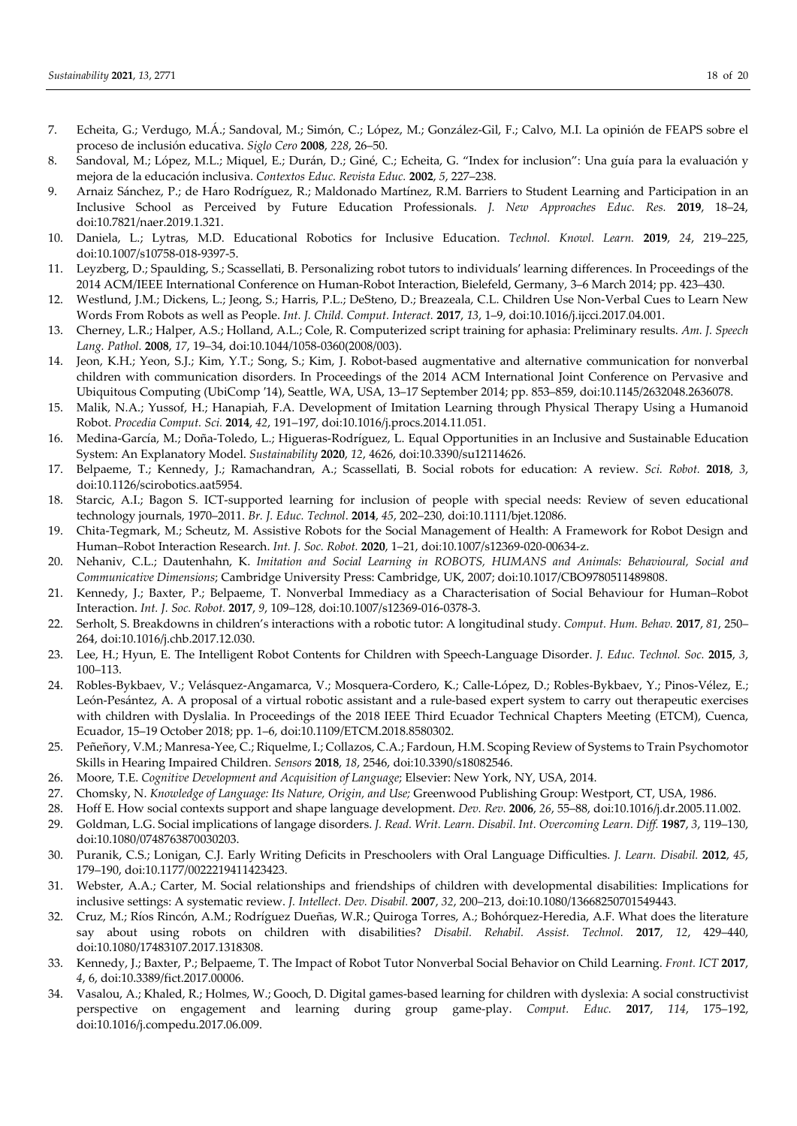- 7. Echeita, G.; Verdugo, M.Á.; Sandoval, M.; Simón, C.; López, M.; González‐Gil, F.; Calvo, M.I. La opinión de FEAPS sobre el proceso de inclusión educativa. *Siglo Cero* **2008**, *228*, 26–50.
- 8. Sandoval, M.; López, M.L.; Miquel, E.; Durán, D.; Giné, C.; Echeita, G. "Index for inclusion": Una guía para la evaluación y mejora de la educación inclusiva. *Contextos Educ. Revista Educ.* **2002**, *5*, 227–238.
- 9. Arnaiz Sánchez, P.; de Haro Rodríguez, R.; Maldonado Martínez, R.M. Barriers to Student Learning and Participation in an Inclusive School as Perceived by Future Education Professionals. *J. New Approaches Educ. Res.* **2019**, 18–24, doi:10.7821/naer.2019.1.321.
- 10. Daniela, L.; Lytras, M.D. Educational Robotics for Inclusive Education. *Technol. Knowl. Learn.* **2019**, *24*, 219–225, doi:10.1007/s10758‐018‐9397‐5.
- 11. Leyzberg, D.; Spaulding, S.; Scassellati, B. Personalizing robot tutors to individuals′ learning differences. In Proceedings of the 2014 ACM/IEEE International Conference on Human‐Robot Interaction, Bielefeld, Germany, 3–6 March 2014; pp. 423–430.
- 12. Westlund, J.M.; Dickens, L.; Jeong, S.; Harris, P.L.; DeSteno, D.; Breazeala, C.L. Children Use Non‐Verbal Cues to Learn New Words From Robots as well as People. *Int. J. Child. Comput. Interact.* **2017**, *13*, 1–9, doi:10.1016/j.ijcci.2017.04.001.
- 13. Cherney, L.R.; Halper, A.S.; Holland, A.L.; Cole, R. Computerized script training for aphasia: Preliminary results. *Am. J. Speech Lang. Pathol.* **2008**, *17*, 19–34, doi:10.1044/1058‐0360(2008/003).
- 14. Jeon, K.H.; Yeon, S.J.; Kim, Y.T.; Song, S.; Kim, J. Robot‐based augmentative and alternative communication for nonverbal children with communication disorders. In Proceedings of the 2014 ACM International Joint Conference on Pervasive and Ubiquitous Computing (UbiComp ′14), Seattle, WA, USA, 13–17 September 2014; pp. 853–859, doi:10.1145/2632048.2636078.
- 15. Malik, N.A.; Yussof, H.; Hanapiah, F.A. Development of Imitation Learning through Physical Therapy Using a Humanoid Robot. *Procedia Comput. Sci.* **2014**, *42*, 191–197, doi:10.1016/j.procs.2014.11.051.
- 16. Medina‐García, M.; Doña‐Toledo, L.; Higueras‐Rodríguez, L. Equal Opportunities in an Inclusive and Sustainable Education System: An Explanatory Model. *Sustainability* **2020**, *12*, 4626, doi:10.3390/su12114626.
- 17. Belpaeme, T.; Kennedy, J.; Ramachandran, A.; Scassellati, B. Social robots for education: A review. *Sci. Robot.* **2018**, *3*, doi:10.1126/scirobotics.aat5954.
- 18. Starcic, A.I.; Bagon S. ICT-supported learning for inclusion of people with special needs: Review of seven educational technology journals, 1970–2011. *Br. J. Educ. Technol*. **2014**, *45*, 202–230, doi:10.1111/bjet.12086.
- 19. Chita‐Tegmark, M.; Scheutz, M. Assistive Robots for the Social Management of Health: A Framework for Robot Design and Human–Robot Interaction Research. *Int. J. Soc. Robot.* **2020**, 1–21, doi:10.1007/s12369‐020‐00634‐z.
- 20. Nehaniv, C.L.; Dautenhahn, K. *Imitation and Social Learning in ROBOTS, HUMANS and Animals: Behavioural, Social and Communicative Dimensions*; Cambridge University Press: Cambridge, UK, 2007; doi:10.1017/CBO9780511489808.
- 21. Kennedy, J.; Baxter, P.; Belpaeme, T. Nonverbal Immediacy as a Characterisation of Social Behaviour for Human–Robot Interaction. *Int. J. Soc. Robot.* **2017**, *9*, 109–128, doi:10.1007/s12369‐016‐0378‐3.
- 22. Serholt, S. Breakdowns in children's interactions with a robotic tutor: A longitudinal study. *Comput. Hum. Behav.* **2017**, *81*, 250– 264, doi:10.1016/j.chb.2017.12.030.
- 23. Lee, H.; Hyun, E. The Intelligent Robot Contents for Children with Speech‐Language Disorder. *J. Educ. Technol. Soc.* **2015**, *3*, 100–113.
- 24. Robles‐Bykbaev, V.; Velásquez‐Angamarca, V.; Mosquera‐Cordero, K.; Calle‐López, D.; Robles‐Bykbaev, Y.; Pinos‐Vélez, E.; León-Pesántez, A. A proposal of a virtual robotic assistant and a rule-based expert system to carry out therapeutic exercises with children with Dyslalia. In Proceedings of the 2018 IEEE Third Ecuador Technical Chapters Meeting (ETCM), Cuenca, Ecuador, 15–19 October 2018; pp. 1–6, doi:10.1109/ETCM.2018.8580302.
- 25. Peñeñory, V.M.; Manresa‐Yee, C.; Riquelme, I.; Collazos, C.A.; Fardoun, H.M. Scoping Review of Systems to Train Psychomotor Skills in Hearing Impaired Children. *Sensors* **2018**, *18*, 2546, doi:10.3390/s18082546.
- 26. Moore, T.E. *Cognitive Development and Acquisition of Language*; Elsevier: New York, NY, USA, 2014.
- 27. Chomsky, N. *Knowledge of Language: Its Nature, Origin, and Use;* Greenwood Publishing Group: Westport, CT, USA, 1986.
- 28. Hoff E. How social contexts support and shape language development. *Dev. Rev.* **2006**, *26*, 55–88, doi:10.1016/j.dr.2005.11.002.
- 29. Goldman, L.G. Social implications of langage disorders. *J. Read. Writ. Learn. Disabil. Int. Overcoming Learn. Diff.* **1987**, *3*, 119–130, doi:10.1080/0748763870030203.
- 30. Puranik, C.S.; Lonigan, C.J. Early Writing Deficits in Preschoolers with Oral Language Difficulties. *J. Learn. Disabil.* **2012**, *45*, 179–190, doi:10.1177/0022219411423423.
- 31. Webster, A.A.; Carter, M. Social relationships and friendships of children with developmental disabilities: Implications for inclusive settings: A systematic review. *J. Intellect. Dev. Disabil.* **2007**, *32*, 200–213, doi:10.1080/13668250701549443.
- 32. Cruz, M.; Ríos Rincón, A.M.; Rodríguez Dueñas, W.R.; Quiroga Torres, A.; Bohórquez-Heredia, A.F. What does the literature say about using robots on children with disabilities? *Disabil. Rehabil. Assist. Technol.* **2017**, *12*, 429–440, doi:10.1080/17483107.2017.1318308.
- 33. Kennedy, J.; Baxter, P.; Belpaeme, T. The Impact of Robot Tutor Nonverbal Social Behavior on Child Learning. *Front. ICT* **2017**, *4*, 6, doi:10.3389/fict.2017.00006.
- 34. Vasalou, A.; Khaled, R.; Holmes, W.; Gooch, D. Digital games‐based learning for children with dyslexia: A social constructivist perspective on engagement and learning during group game‐play. *Comput. Educ.* **2017**, *114*, 175–192, doi:10.1016/j.compedu.2017.06.009.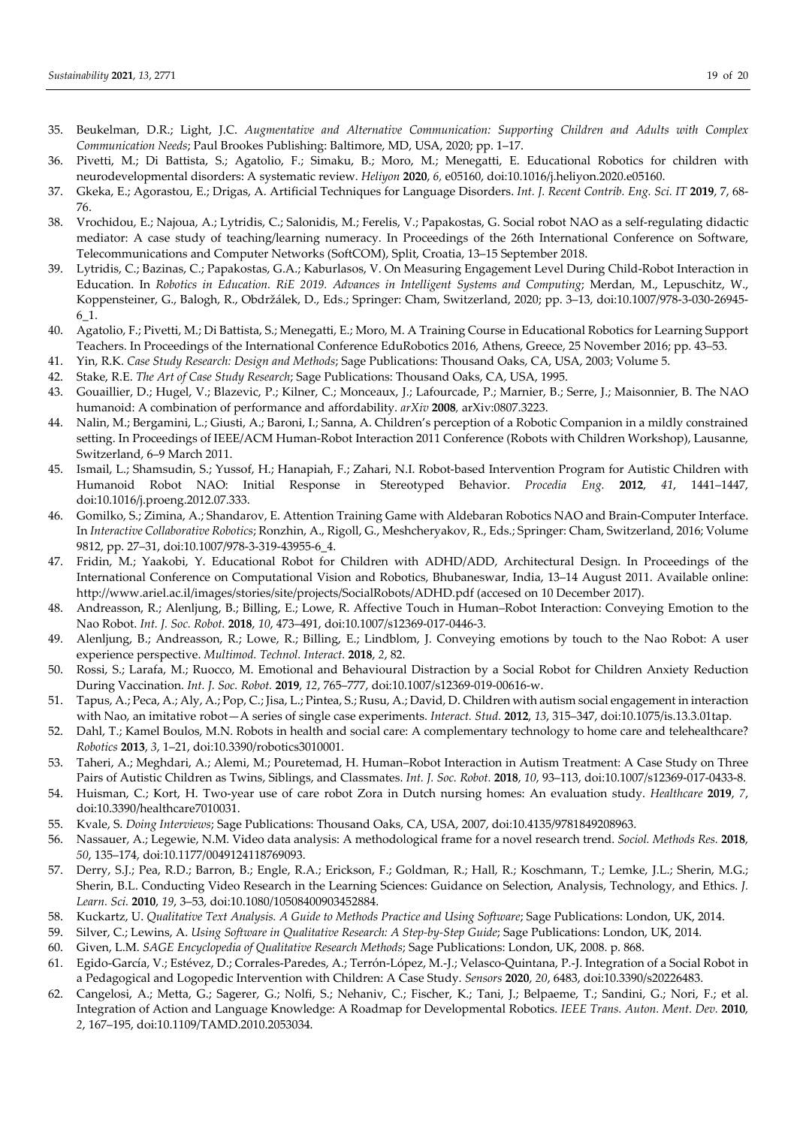- 35. Beukelman, D.R.; Light, J.C. *Augmentative and Alternative Communication: Supporting Children and Adults with Complex Communication Needs*; Paul Brookes Publishing: Baltimore, MD, USA, 2020; pp. 1–17.
- 36. Pivetti, M.; Di Battista, S.; Agatolio, F.; Simaku, B.; Moro, M.; Menegatti, E. Educational Robotics for children with neurodevelopmental disorders: A systematic review. *Heliyon* **2020**, *6,* e05160, doi:10.1016/j.heliyon.2020.e05160.
- 37. Gkeka, E.; Agorastou, E.; Drigas, A. Artificial Techniques for Language Disorders. *Int. J. Recent Contrib. Eng. Sci. IT* **2019**, 7, 68‐ 76.
- 38. Vrochidou, E.; Najoua, A.; Lytridis, C.; Salonidis, M.; Ferelis, V.; Papakostas, G. Social robot NAO as a self‐regulating didactic mediator: A case study of teaching/learning numeracy. In Proceedings of the 26th International Conference on Software, Telecommunications and Computer Networks (SoftCOM), Split, Croatia, 13–15 September 2018.
- 39. Lytridis, C.; Bazinas, C.; Papakostas, G.A.; Kaburlasos, V. On Measuring Engagement Level During Child‐Robot Interaction in Education. In *Robotics in Education. RiE 2019. Advances in Intelligent Systems and Computing*; Merdan, M., Lepuschitz, W., Koppensteiner, G., Balogh, R., Obdržálek, D., Eds.; Springer: Cham, Switzerland, 2020; pp. 3–13, doi:10.1007/978‐3‐030‐26945‐ 6\_1.
- 40. Agatolio, F.; Pivetti, M.; Di Battista, S.; Menegatti, E.; Moro, M. A Training Course in Educational Robotics for Learning Support Teachers. In Proceedings of the International Conference EduRobotics 2016, Athens, Greece, 25 November 2016; pp. 43–53.
- 41. Yin, R.K. *Case Study Research: Design and Methods*; Sage Publications: Thousand Oaks, CA, USA, 2003; Volume 5.
- 42. Stake, R.E. *The Art of Case Study Research*; Sage Publications: Thousand Oaks, CA, USA, 1995.
- 43. Gouaillier, D.; Hugel, V.; Blazevic, P.; Kilner, C.; Monceaux, J.; Lafourcade, P.; Marnier, B.; Serre, J.; Maisonnier, B. The NAO humanoid: A combination of performance and affordability. *arXiv* **2008***,* arXiv:0807.3223.
- 44. Nalin, M.; Bergamini, L.; Giusti, A.; Baroni, I.; Sanna, A. Children's perception of a Robotic Companion in a mildly constrained setting. In Proceedings of IEEE/ACM Human-Robot Interaction 2011 Conference (Robots with Children Workshop), Lausanne, Switzerland, 6–9 March 2011.
- 45. Ismail, L.; Shamsudin, S.; Yussof, H.; Hanapiah, F.; Zahari, N.I. Robot‐based Intervention Program for Autistic Children with Humanoid Robot NAO: Initial Response in Stereotyped Behavior. *Procedia Eng.* **2012**, *41*, 1441–1447, doi:10.1016/j.proeng.2012.07.333.
- 46. Gomilko, S.; Zimina, A.; Shandarov, E. Attention Training Game with Aldebaran Robotics NAO and Brain‐Computer Interface. In *Interactive Collaborative Robotics*; Ronzhin, A., Rigoll, G., Meshcheryakov, R., Eds.; Springer: Cham, Switzerland, 2016; Volume 9812, pp. 27–31, doi:10.1007/978‐3‐319‐43955‐6\_4.
- 47. Fridin, M.; Yaakobi, Y. Educational Robot for Children with ADHD/ADD, Architectural Design. In Proceedings of the International Conference on Computational Vision and Robotics, Bhubaneswar, India, 13–14 August 2011. Available online: http://www.ariel.ac.il/images/stories/site/projects/SocialRobots/ADHD.pdf (accesed on 10 December 2017).
- 48. Andreasson, R.; Alenljung, B.; Billing, E.; Lowe, R. Affective Touch in Human–Robot Interaction: Conveying Emotion to the Nao Robot. *Int. J. Soc. Robot.* **2018**, *10*, 473–491, doi:10.1007/s12369‐017‐0446‐3.
- 49. Alenljung, B.; Andreasson, R.; Lowe, R.; Billing, E.; Lindblom, J. Conveying emotions by touch to the Nao Robot: A user experience perspective. *Multimod. Technol. Interact.* **2018**, *2*, 82.
- 50. Rossi, S.; Larafa, M.; Ruocco, M. Emotional and Behavioural Distraction by a Social Robot for Children Anxiety Reduction During Vaccination. *Int. J. Soc. Robot.* **2019**, *12*, 765–777, doi:10.1007/s12369‐019‐00616‐w.
- 51. Tapus, A.; Peca, A.; Aly, A.; Pop, C.; Jisa, L.; Pintea, S.; Rusu, A.; David, D. Children with autism social engagement in interaction with Nao, an imitative robot—A series of single case experiments. *Interact. Stud.* **2012**, *13*, 315–347, doi:10.1075/is.13.3.01tap.
- 52. Dahl, T.; Kamel Boulos, M.N. Robots in health and social care: A complementary technology to home care and telehealthcare? *Robotics* **2013**, *3*, 1–21, doi:10.3390/robotics3010001.
- 53. Taheri, A.; Meghdari, A.; Alemi, M.; Pouretemad, H. Human–Robot Interaction in Autism Treatment: A Case Study on Three Pairs of Autistic Children as Twins, Siblings, and Classmates. *Int. J. Soc. Robot.* **2018**, *10*, 93–113, doi:10.1007/s12369‐017‐0433‐8.
- 54. Huisman, C.; Kort, H. Two‐year use of care robot Zora in Dutch nursing homes: An evaluation study. *Healthcare* **2019**, *7*, doi:10.3390/healthcare7010031.
- 55. Kvale, S. *Doing Interviews*; Sage Publications: Thousand Oaks, CA, USA, 2007, doi:10.4135/9781849208963.
- 56. Nassauer, A.; Legewie, N.M. Video data analysis: A methodological frame for a novel research trend. *Sociol. Methods Res.* **2018**, *50*, 135–174, doi:10.1177/0049124118769093.
- 57. Derry, S.J.; Pea, R.D.; Barron, B.; Engle, R.A.; Erickson, F.; Goldman, R.; Hall, R.; Koschmann, T.; Lemke, J.L.; Sherin, M.G.; Sherin, B.L. Conducting Video Research in the Learning Sciences: Guidance on Selection, Analysis, Technology, and Ethics. *J. Learn. Sci.* **2010**, *19*, 3–53, doi:10.1080/10508400903452884.
- 58. Kuckartz, U. *Qualitative Text Analysis. A Guide to Methods Practice and Using Software*; Sage Publications: London, UK, 2014.
- 59. Silver, C.; Lewins, A. *Using Software in Qualitative Research: A Step‐by‐Step Guide*; Sage Publications: London, UK, 2014.
- 60. Given, L.M. *SAGE Encyclopedia of Qualitative Research Methods*; Sage Publications: London, UK, 2008. p. 868.
- 61. Egido‐García, V.; Estévez, D.; Corrales‐Paredes, A.; Terrón‐López, M.‐J.; Velasco‐Quintana, P.‐J. Integration of a Social Robot in a Pedagogical and Logopedic Intervention with Children: A Case Study. *Sensors* **2020**, *20*, 6483, doi:10.3390/s20226483.
- 62. Cangelosi, A.; Metta, G.; Sagerer, G.; Nolfi, S.; Nehaniv, C.; Fischer, K.; Tani, J.; Belpaeme, T.; Sandini, G.; Nori, F.; et al. Integration of Action and Language Knowledge: A Roadmap for Developmental Robotics. *IEEE Trans. Auton. Ment. Dev.* **2010**, *2*, 167–195, doi:10.1109/TAMD.2010.2053034.